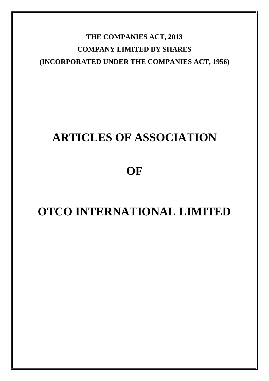**THE COMPANIES ACT, 2013 COMPANY LIMITED BY SHARES (INCORPORATED UNDER THE COMPANIES ACT, 1956)**

# **ARTICLES OF ASSOCIATION**

**OF**

# **OTCO INTERNATIONAL LIMITED**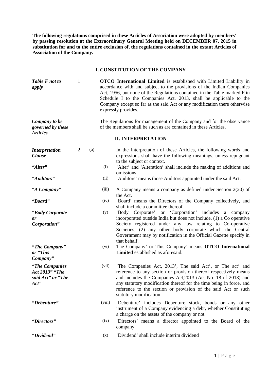**The following regulations comprised in these Articles of Association were adopted by members' by passing resolution at the Extraordinary General Meeting held on DECEMBER 07, 2015 in substitution for and to the entire exclusion of, the regulations contained in the extant Articles of Association of the Company.**

## **I. CONSTITUTION OF THE COMPANY**

| Table F not to<br>apply                                        | $\mathbf{1}$   |     |        | <b>OTCO</b> International Limited is established with Limited Liability in<br>accordance with and subject to the provisions of the Indian Companies<br>Act, 1956, but none of the Regulations contained in the Table marked F in<br>Schedule I to the Companies Act, 2013, shall be applicable to the<br>Company except so far as the said Act or any modification there otherwise<br>expressly provides. |
|----------------------------------------------------------------|----------------|-----|--------|-----------------------------------------------------------------------------------------------------------------------------------------------------------------------------------------------------------------------------------------------------------------------------------------------------------------------------------------------------------------------------------------------------------|
| Company to be<br>governed by these<br><b>Articles</b>          |                |     |        | The Regulations for management of the Company and for the observance<br>of the members shall be such as are contained in these Articles.                                                                                                                                                                                                                                                                  |
|                                                                |                |     |        | <b>II. INTERPRETATION</b>                                                                                                                                                                                                                                                                                                                                                                                 |
| <b>Interpretation</b><br><b>Clause</b>                         | $\overline{2}$ | (a) |        | In the interpretation of these Articles, the following words and<br>expressions shall have the following meanings, unless repugnant<br>to the subject or context.                                                                                                                                                                                                                                         |
| "Alter"                                                        |                |     | (i)    | 'Alter' and 'Alteration' shall include the making of additions and<br>omissions                                                                                                                                                                                                                                                                                                                           |
| "Auditors"                                                     |                |     | (ii)   | 'Auditors' means those Auditors appointed under the said Act.                                                                                                                                                                                                                                                                                                                                             |
| "A Company"                                                    |                |     | (iii)  | A Company means a company as defined under Section 2(20) of<br>the Act.                                                                                                                                                                                                                                                                                                                                   |
| "Board"                                                        |                |     | (iv)   | 'Board' means the Directors of the Company collectively, and<br>shall include a committee thereof.                                                                                                                                                                                                                                                                                                        |
| "Body Corporate"<br>or<br>Corporation"                         |                |     | (v)    | 'Body Corporate' or 'Corporation' includes a company<br>incorporated outside India but does not include, (1) a Co operative<br>Society registered under any law relating to Co-operative<br>Societies, (2) any other body corporate which the Central<br>Government may by notification in the Official Gazette specify in<br>that behalf.                                                                |
| "The Company"<br>or "This<br>Company"                          |                |     | (vi)   | The Company' or This Company' means OTCO International<br>Limited established as aforesaid.                                                                                                                                                                                                                                                                                                               |
| "The Companies"<br>Act 2013" "The<br>said Act" or "The<br>Act" |                |     | (vii)  | 'The Companies Act, 2013', The said Act', or The act' and<br>reference to any section or provision thereof respectively means<br>and includes the Companies Act, 2013 (Act No. 18 of 2013) and<br>any statutory modification thereof for the time being in force, and<br>reference to the section or provision of the said Act or such<br>statutory modification.                                         |
| "Debenture"                                                    |                |     | (viii) | 'Debenture' includes Debenture stock, bonds or any other<br>instrument of a Company evidencing a debt, whether Constituting<br>a charge on the assets of the company or not.                                                                                                                                                                                                                              |
| "Directors"                                                    |                |     | (ix)   | 'Directors' means a director appointed to the Board of the<br>company.                                                                                                                                                                                                                                                                                                                                    |
| "Dividend"                                                     |                |     | (x)    | 'Dividend' shall include interim dividend                                                                                                                                                                                                                                                                                                                                                                 |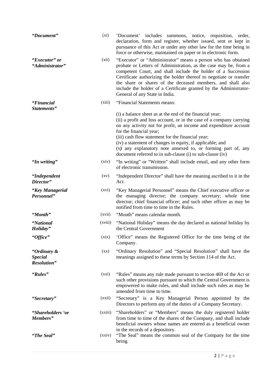| "Document"                                   | $(x_i)$            | 'Document' includes summons, notice, requisition, order,<br>declaration, form and register, whether issued, sent or kept in<br>pursuance of this Act or under any other law for the time being in<br>force or otherwise, maintained on paper or in electronic form.                                                                                                                                                                                                             |
|----------------------------------------------|--------------------|---------------------------------------------------------------------------------------------------------------------------------------------------------------------------------------------------------------------------------------------------------------------------------------------------------------------------------------------------------------------------------------------------------------------------------------------------------------------------------|
| "Executor" or<br>"Administrator"             | (xii)              | "Executor" or "Administrator" means a person who has obtained<br>probate or Letters of Administration, as the case may be, from a<br>competent Court, and shall include the holder of a Succession<br>Certificate authorizing the holder thereof to negotiate or transfer<br>the share or shares of the deceased members, and shall also<br>include the holder of a Certificate granted by the Administrator-<br>General of any State in India.                                 |
| "Financial<br>Statements"                    | (xiii)             | "Financial Statements means:                                                                                                                                                                                                                                                                                                                                                                                                                                                    |
|                                              |                    | (i) a balance sheet as at the end of the financial year;<br>(ii) a profit and loss account, or in the case of a company carrying<br>on any activity not for profit, an income and expenditure account<br>for the financial year;<br>(iii) cash flow statement for the financial year;<br>(iv) a statement of changes in equity, if applicable; and<br>(v) any explanatory note annexed to, or forming part of, any<br>document referred to in sub-clause (i) to sub-clause (iv) |
| "In writing"                                 | (xiv)              | "In writing" or "Written" shall include email, and any other form<br>of electronic transmission.                                                                                                                                                                                                                                                                                                                                                                                |
| "Independent<br>Director"                    | $\left( xy\right)$ | "Independent Director" shall have the meaning ascribed to it in the<br>Act.                                                                                                                                                                                                                                                                                                                                                                                                     |
| "Key Managerial<br>Personnel"                | (xvi)              | "Key Managerial Personnel" means the Chief executive officer or<br>the managing director; the company secretary; whole time<br>director; chief financial officer; and such other officer as may be<br>notified from time to time in the Rules.                                                                                                                                                                                                                                  |
| "Month"                                      | (xvii)             | "Month" means calendar month.                                                                                                                                                                                                                                                                                                                                                                                                                                                   |
| "National<br>Holiday"                        | (xviii)            | "National Holiday" means the day declared as national holiday by<br>the Central Government                                                                                                                                                                                                                                                                                                                                                                                      |
| "Office"                                     | (xix)              | 'Office" means the Registered Office for the time being of the<br>Company.                                                                                                                                                                                                                                                                                                                                                                                                      |
| "Ordinary &<br><b>Special</b><br>Resolution" | $\left( xx\right)$ | "Ordinary Resolution" and "Special Resolution" shall have the<br>meanings assigned to these terms by Section 114 of the Act.                                                                                                                                                                                                                                                                                                                                                    |
| "Rules"                                      | (xxi)              | "Rules" means any rule made pursuant to section 469 of the Act or<br>such other provisions pursuant to which the Central Government is<br>empowered to make rules, and shall include such rules as may be<br>amended from time to time.                                                                                                                                                                                                                                         |
| "Secretary"                                  | (xxii)             | "Secretary" is a Key Managerial Person appointed by the<br>Directors to perform any of the duties of a Company Secretary.                                                                                                                                                                                                                                                                                                                                                       |
| "Shareholders 'or<br>Members"                | (xxiii)            | "Shareholders" or "Members" means the duly registered holder<br>from time to time of the shares of the Company, and shall include<br>beneficial owners whose names are entered as a beneficial owner<br>in the records of a depository.                                                                                                                                                                                                                                         |
| "The Seal"                                   | (xxiv)             | "The Seal" means the common seal of the Company for the time<br>being.                                                                                                                                                                                                                                                                                                                                                                                                          |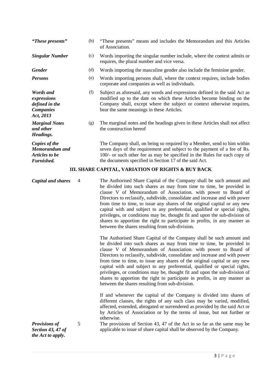| "These presents"                                                                   |   | (b) | "These presents" means and includes the Memorandum and this Articles<br>of Association.                                                                                                                                                                                                                                                                                                                                                                                                                                                                                                                                                                               |
|------------------------------------------------------------------------------------|---|-----|-----------------------------------------------------------------------------------------------------------------------------------------------------------------------------------------------------------------------------------------------------------------------------------------------------------------------------------------------------------------------------------------------------------------------------------------------------------------------------------------------------------------------------------------------------------------------------------------------------------------------------------------------------------------------|
| <b>Singular Number</b>                                                             |   | (c) | Words importing the singular number include, where the context admits or<br>requires, the plural number and vice versa.                                                                                                                                                                                                                                                                                                                                                                                                                                                                                                                                               |
| Gender                                                                             |   | (d) | Words importing the masculine gender also include the feminine gender.                                                                                                                                                                                                                                                                                                                                                                                                                                                                                                                                                                                                |
| <b>Persons</b>                                                                     |   | (e) | Words importing persons shall, where the context requires, include bodies<br>corporate and companies as well as individuals.                                                                                                                                                                                                                                                                                                                                                                                                                                                                                                                                          |
| <b>Words</b> and<br>expressions<br>defined in the<br><b>Companies</b><br>Act, 2013 |   | (f) | Subject as aforesaid, any words and expressions defined in the said Act as<br>modified up to the date on which these Articles become binding on the<br>Company shall, except where the subject or context otherwise requires,<br>bear the same meanings in these Articles.                                                                                                                                                                                                                                                                                                                                                                                            |
| <b>Marginal Notes</b><br>and other<br>Headings.                                    |   | (g) | The marginal notes and the headings given in these Articles shall not affect<br>the construction hereof                                                                                                                                                                                                                                                                                                                                                                                                                                                                                                                                                               |
| Copies of the<br>Memorandum and<br>Articles to be<br>Furnished.                    |   |     | The Company shall, on being so required by a Member, send to him within<br>seven days of the requirement and subject to the payment of a fee of Rs.<br>100/- or such other fee as may be specified in the Rules for each copy of<br>the documents specified in Section 17 of the said Act.                                                                                                                                                                                                                                                                                                                                                                            |
|                                                                                    |   |     | III. SHARE CAPITAL, VARIATION OF RIGHTS & BUY BACK                                                                                                                                                                                                                                                                                                                                                                                                                                                                                                                                                                                                                    |
| <b>Capital and shares</b>                                                          | 4 |     | The Authorised Share Capital of the Company shall be such amount and<br>be divided into such shares as may from time to time, be provided in<br>clause V of Memorandum of Association. with power to Board of<br>Directors to reclassify, subdivide, consolidate and increase and with power<br>from time to time, to issue any shares of the original capital or any new<br>capital with and subject to any preferential, qualified or special rights,<br>privileges, or conditions may be, thought fit and upon the sub-division of<br>shares to apportion the right to participate in profits, in any manner as<br>between the shares resulting from sub-division. |
|                                                                                    |   |     | The Authorised Share Capital of the Company shall be such amount and<br>be divided into such shares as may from time to time, be provided in<br>clause V of Memorandum of Association. with power to Board of<br>Directors to reclassify, subdivide, consolidate and increase and with power<br>from time to time, to issue any shares of the original capital or any new<br>capital with and subject to any preferential, qualified or special rights,<br>privileges, or conditions may be, thought fit and upon the sub-division of<br>shares to apportion the right to participate in profits, in any manner as<br>between the shares resulting from sub-division. |
|                                                                                    |   |     | If and whenever the capital of the Company is divided into shares of<br>different classes, the rights of any such class may be varied, modified,<br>affected, extended, abrogated or surrendered as provided by the said Act or<br>by Articles of Association or by the terms of issue, but not further or<br>otherwise.                                                                                                                                                                                                                                                                                                                                              |
| <b>Provisions of</b><br><b>Section 43, 47 of</b><br>the Act to annly               | 5 |     | The provisions of Section 43, 47 of the Act in so far as the same may be<br>applicable to issue of share capital shall be observed by the Company.                                                                                                                                                                                                                                                                                                                                                                                                                                                                                                                    |

*the Act to apply.*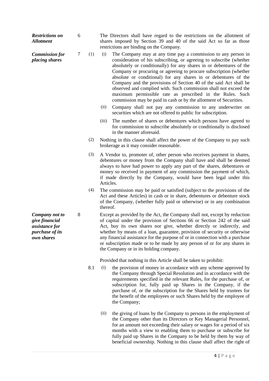| <b>Restrictions on</b><br><b>Allotment</b>                                          | 6 |     | The Directors shall have regard to the restrictions on the allotment of<br>shares imposed by Section 39 and 40 of the said Act so far as those<br>restrictions are binding on the Company.                                                                                                                                                                                                                                                                                                                                                                                                                                            |
|-------------------------------------------------------------------------------------|---|-----|---------------------------------------------------------------------------------------------------------------------------------------------------------------------------------------------------------------------------------------------------------------------------------------------------------------------------------------------------------------------------------------------------------------------------------------------------------------------------------------------------------------------------------------------------------------------------------------------------------------------------------------|
| <b>Commission for</b><br>placing shares                                             | 7 | (1) | The Company may at any time pay a commission to any person in<br>(i)<br>consideration of his subscribing, or agreeing to subscribe (whether<br>absolutely or conditionally) for any shares in or debentures of the<br>Company or procuring or agreeing to procure subscription (whether<br>absolute or conditional) for any shares in or debentures of the<br>Company and the provisions of Section 40 of the said Act shall be<br>observed and complied with. Such commission shall not exceed the<br>maximum permissible rate as prescribed in the Rules. Such<br>commission may be paid in cash or by the allotment of Securities. |
|                                                                                     |   |     | (ii)<br>Company shall not pay any commission to any underwriter on<br>securities which are not offered to public for subscription.                                                                                                                                                                                                                                                                                                                                                                                                                                                                                                    |
|                                                                                     |   |     | (iii)<br>The number of shares or debentures which persons have agreed to<br>for commission to subscribe absolutely or conditionally is disclosed<br>in the manner aforesaid.                                                                                                                                                                                                                                                                                                                                                                                                                                                          |
|                                                                                     |   | (2) | Nothing in this clause shall affect the power of the Company to pay such<br>brokerage as it may consider reasonable.                                                                                                                                                                                                                                                                                                                                                                                                                                                                                                                  |
|                                                                                     |   | (3) | A Vendor to, promoter of, other person who receives payment in shares,<br>debentures or money from the Company shall have and shall be deemed<br>always to have had power to apply any part of the shares, debentures or<br>money so received in payment of any commission the payment of which,<br>if made directly by the Company, would have been legal under this<br>Articles.                                                                                                                                                                                                                                                    |
|                                                                                     |   | (4) | The commission may be paid or satisfied (subject to the provisions of the<br>Act and these Articles) in cash or in share, debentures or debenture stock<br>of the Company, (whether fully paid or otherwise) or in any combination<br>thereof.                                                                                                                                                                                                                                                                                                                                                                                        |
| Company not to<br>give financial<br>assistance for<br>purchase of its<br>own shares | 8 |     | Except as provided by the Act, the Company shall not, except by reduction<br>of capital under the provision of Sections 66 or Section 242 of the said<br>Act, buy its own shares nor give, whether directly or indirectly, and<br>whether by means of a loan, guarantee, provision of security or otherwise<br>any financial assistance for the purpose of or in connection with a purchase<br>or subscription made or to be made by any person of or for any shares in<br>the Company or in its holding company.                                                                                                                     |
|                                                                                     |   |     | Provided that nothing in this Article shall be taken to prohibit:                                                                                                                                                                                                                                                                                                                                                                                                                                                                                                                                                                     |
|                                                                                     |   | 8.1 | the provision of money in accordance with any scheme approved by<br>(i)<br>the Company through Special Resolution and in accordance with the<br>requirements specified in the relevant Rules, for the purchase of, or<br>subscription for, fully paid up Shares in the Company, if the<br>purchase of, or the subscription for the Shares held by trustees for<br>the benefit of the employees or such Shares held by the employee of<br>the Company;                                                                                                                                                                                 |
|                                                                                     |   |     | (ii)<br>the giving of loans by the Company to persons in the employment of<br>the Company other than its Directors or Key Managerial Personnel,<br>for an amount not exceeding their salary or wages for a period of six<br>months with a view to enabling them to purchase or subscribe for                                                                                                                                                                                                                                                                                                                                          |

fully paid up Shares in the Company to be held by them by way of beneficial ownership. Nothing in this clause shall affect the right of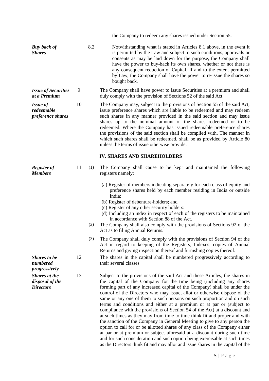|                                                             |    |     | the Company to redeem any shares issued under Section 55.                                                                                                                                                                                                                                                                                                                                                                                                                                                                                                                                                                                                                                                                                                                                                                                                                                                                                                                                                                         |
|-------------------------------------------------------------|----|-----|-----------------------------------------------------------------------------------------------------------------------------------------------------------------------------------------------------------------------------------------------------------------------------------------------------------------------------------------------------------------------------------------------------------------------------------------------------------------------------------------------------------------------------------------------------------------------------------------------------------------------------------------------------------------------------------------------------------------------------------------------------------------------------------------------------------------------------------------------------------------------------------------------------------------------------------------------------------------------------------------------------------------------------------|
| <b>Buy back of</b><br><b>Shares</b>                         |    | 8.2 | Notwithstanding what is stated in Articles 8.1 above, in the event it<br>is permitted by the Law and subject to such conditions, approvals or<br>consents as may be laid down for the purpose, the Company shall<br>have the power to buy-back its own shares, whether or not there is<br>any consequent reduction of Capital. If and to the extent permitted<br>by Law, the Company shall have the power to re-issue the shares so<br>bought back.                                                                                                                                                                                                                                                                                                                                                                                                                                                                                                                                                                               |
| <b>Issue of Securities</b><br>at a Premium                  | 9  |     | The Company shall have power to issue Securities at a premium and shall<br>duly comply with the provision of Sections 52 of the said Act.                                                                                                                                                                                                                                                                                                                                                                                                                                                                                                                                                                                                                                                                                                                                                                                                                                                                                         |
| <b>Issue of</b><br>redeemable<br>preference shares          | 10 |     | The Company may, subject to the provisions of Section 55 of the said Act,<br>issue preference shares which are liable to be redeemed and may redeem<br>such shares in any manner provided in the said section and may issue<br>shares up to the nominal amount of the shares redeemed or to be<br>redeemed. Where the Company has issued redeemable preference shares<br>the provisions of the said section shall be complied with. The manner in<br>which such shares shall be redeemed, shall be as provided by Article 80<br>unless the terms of issue otherwise provide.                                                                                                                                                                                                                                                                                                                                                                                                                                                      |
|                                                             |    |     | <b>IV. SHARES AND SHAREHOLDERS</b>                                                                                                                                                                                                                                                                                                                                                                                                                                                                                                                                                                                                                                                                                                                                                                                                                                                                                                                                                                                                |
| <b>Register of</b><br><b>Members</b>                        | 11 | (1) | The Company shall cause to be kept and maintained the following<br>registers namely:                                                                                                                                                                                                                                                                                                                                                                                                                                                                                                                                                                                                                                                                                                                                                                                                                                                                                                                                              |
|                                                             |    | (2) | (a) Register of members indicating separately for each class of equity and<br>preference shares held by each member residing in India or outside<br>India;<br>(b) Register of debenture-holders; and<br>(c) Register of any other security holders:<br>(d) Including an index in respect of each of the registers to be maintained<br>in accordance with Section 88 of the Act.<br>The Company shall also comply with the provisions of Sections 92 of the<br>Act as to filing Annual Returns.                                                                                                                                                                                                                                                                                                                                                                                                                                                                                                                                    |
|                                                             |    | (3) | The Company shall duly comply with the provisions of Section 94 of the<br>Act in regard to keeping of the Registers, Indexes, copies of Annual<br>Returns and giving inspection thereof and furnishing copies thereof.                                                                                                                                                                                                                                                                                                                                                                                                                                                                                                                                                                                                                                                                                                                                                                                                            |
| <b>Shares to be</b><br>numbered<br>progressively            | 12 |     | The shares in the capital shall be numbered progressively according to<br>their several classes                                                                                                                                                                                                                                                                                                                                                                                                                                                                                                                                                                                                                                                                                                                                                                                                                                                                                                                                   |
| <b>Shares</b> at the<br>disposal of the<br><b>Directors</b> | 13 |     | Subject to the provisions of the said Act and these Articles, the shares in<br>the capital of the Company for the time being (including any shares<br>forming part of any increased capital of the Company) shall be under the<br>control of the Directors who may issue, allot or otherwise dispose of the<br>same or any one of them to such persons on such proportion and on such<br>terms and conditions and either at a premium or at par or (subject to<br>compliance with the provisions of Section 54 of the Act) at a discount and<br>at such times as they may from time to time think fit and proper and with<br>the sanction of the Company in General Meeting to give to any person the<br>option to call for or be allotted shares of any class of the Company either<br>at par or at premium or subject aforesaid at a discount during such time<br>and for such consideration and such option being exercisable at such times<br>as the Directors think fit and may allot and issue shares in the capital of the |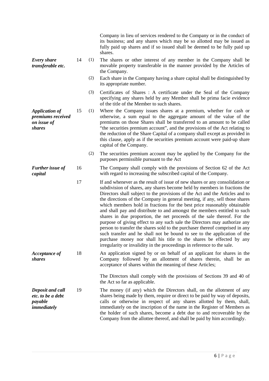|                                                                     |    |     | Company in lieu of services rendered to the Company or in the conduct of<br>its business; and any shares which may be so allotted may be issued as<br>fully paid up shares and if so issued shall be deemed to be fully paid up<br>shares.                                                                                                                                                                                                                                                                                                                                                                                                                                                                                                                                                                                                                                                                                                             |
|---------------------------------------------------------------------|----|-----|--------------------------------------------------------------------------------------------------------------------------------------------------------------------------------------------------------------------------------------------------------------------------------------------------------------------------------------------------------------------------------------------------------------------------------------------------------------------------------------------------------------------------------------------------------------------------------------------------------------------------------------------------------------------------------------------------------------------------------------------------------------------------------------------------------------------------------------------------------------------------------------------------------------------------------------------------------|
| <b>Every share</b><br>transferable etc.                             | 14 | (1) | The shares or other interest of any member in the Company shall be<br>movable property transferable in the manner provided by the Articles of<br>the Company.                                                                                                                                                                                                                                                                                                                                                                                                                                                                                                                                                                                                                                                                                                                                                                                          |
|                                                                     |    | (2) | Each share in the Company having a share capital shall be distinguished by<br>its appropriate number.                                                                                                                                                                                                                                                                                                                                                                                                                                                                                                                                                                                                                                                                                                                                                                                                                                                  |
|                                                                     |    | (3) | Certificates of Shares: A certificate under the Seal of the Company<br>specifying any shares held by any Member shall be prima facie evidence<br>of the title of the Member to such shares.                                                                                                                                                                                                                                                                                                                                                                                                                                                                                                                                                                                                                                                                                                                                                            |
| <b>Application of</b><br>premiums received<br>on issue of<br>shares | 15 | (1) | Where the Company issues shares at a premium, whether for cash or<br>otherwise, a sum equal to the aggregate amount of the value of the<br>premiums on those Shares shall be transferred to an amount to be called<br>"the securities premium account", and the provisions of the Act relating to<br>the reduction of the Share Capital of a company shall except as provided in<br>this clause, apply as if the securities premium account were paid-up share<br>capital of the Company.                                                                                                                                                                                                                                                                                                                                                                                                                                                              |
|                                                                     |    | (2) | The securities premium account may be applied by the Company for the<br>purposes permissible pursuant to the Act                                                                                                                                                                                                                                                                                                                                                                                                                                                                                                                                                                                                                                                                                                                                                                                                                                       |
| <b>Further issue of</b><br>capital                                  | 16 |     | The Company shall comply with the provisions of Section 62 of the Act<br>with regard to increasing the subscribed capital of the Company.                                                                                                                                                                                                                                                                                                                                                                                                                                                                                                                                                                                                                                                                                                                                                                                                              |
|                                                                     | 17 |     | If and whenever as the result of issue of new shares or any consolidation or<br>subdivision of shares, any shares become held by members in fractions the<br>Directors shall subject to the provisions of the Act and the Articles and to<br>the directions of the Company in general meeting, if any, sell those shares<br>which members hold in fractions for the best price reasonably obtainable<br>and shall pay and distribute to and amongst the members entitled to such<br>shares in due proportion, the net proceeds of the sale thereof. For the<br>purpose of giving effect to any such sale the Directors may authorize any<br>person to transfer the shares sold to the purchaser thereof comprised in any<br>such transfer and he shall not be bound to see to the application of the<br>purchase money nor shall his title to the shares be effected by any<br>irregularity or invalidity in the proceedings in reference to the sale. |
| Acceptance of<br><i>shares</i>                                      | 18 |     | An application signed by or on behalf of an applicant for shares in the<br>Company followed by an allotment of shares therein, shall be an<br>acceptance of shares within the meaning of these Articles;                                                                                                                                                                                                                                                                                                                                                                                                                                                                                                                                                                                                                                                                                                                                               |
|                                                                     |    |     | The Directors shall comply with the provisions of Sections 39 and 40 of<br>the Act so far as applicable.                                                                                                                                                                                                                                                                                                                                                                                                                                                                                                                                                                                                                                                                                                                                                                                                                                               |
| Deposit and call<br>etc. to be a debt<br>payable<br>immediately     | 19 |     | The money (if any) which the Directors shall, on the allotment of any<br>shares being made by them, require or direct to be paid by way of deposits,<br>calls or otherwise in respect of any shares allotted by them, shall,<br>immediately on the inscription of the name in the Register of Members as<br>the holder of such shares, become a debt due to and recoverable by the<br>Company from the allottee thereof, and shall be paid by him accordingly.                                                                                                                                                                                                                                                                                                                                                                                                                                                                                         |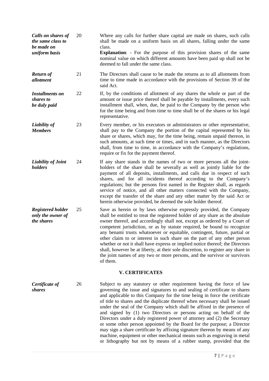| Calls on shares of<br>the same class to<br>be made on<br>uniform basis | 20 | Where any calls for further share capital are made on shares, such calls<br>shall be made on a uniform basis on all shares, falling under the same<br>class.<br><b>Explanation:</b> - For the purpose of this provision shares of the same<br>nominal value on which different amounts have been paid up shall not be<br>deemed to fall under the same class.                                                                                                                                                                                                                                                                                                                                                                                                                                                                                              |
|------------------------------------------------------------------------|----|------------------------------------------------------------------------------------------------------------------------------------------------------------------------------------------------------------------------------------------------------------------------------------------------------------------------------------------------------------------------------------------------------------------------------------------------------------------------------------------------------------------------------------------------------------------------------------------------------------------------------------------------------------------------------------------------------------------------------------------------------------------------------------------------------------------------------------------------------------|
| <b>Return of</b><br>allotment                                          | 21 | The Directors shall cause to be made the returns as to all allotments from<br>time to time made in accordance with the provisions of Section 39 of the<br>said Act.                                                                                                                                                                                                                                                                                                                                                                                                                                                                                                                                                                                                                                                                                        |
| <b>Installments on</b><br>shares to<br>be duly paid                    | 22 | If, by the conditions of allotment of any shares the whole or part of the<br>amount or issue price thereof shall be payable by installments, every such<br>installment shall, when, due, be paid to the Company by the person who<br>for the time being and from time to time shall be of the shares or his legal<br>representative.                                                                                                                                                                                                                                                                                                                                                                                                                                                                                                                       |
| Liability of<br><b>Members</b>                                         | 23 | Every member, or his executors or administrators or other representative,<br>shall pay to the Company the portion of the capital represented by his<br>share or shares, which may, for the time being, remain unpaid thereon, in<br>such amounts, at such time or times, and in such manner, as the Directors<br>shall, from time to time, in accordance with the Company's regulations,<br>require or fix for the payment thereof.                                                                                                                                                                                                                                                                                                                                                                                                                        |
| <b>Liability of Joint</b><br>holders                                   | 24 | If any share stands in the names of two or more persons all the joint-<br>holders of the share shall be severally as well as jointly liable for the<br>payment of all deposits, installments, and calls due in respect of such<br>shares, and for all incidents thereof according to the Company's<br>regulations; but the persons first named in the Register shall, as regards<br>service of notice, and all other matters connected with the Company,<br>except the transfer of the share and any other matter by the said Act or<br>herein otherwise provided, be deemed the sole holder thereof.                                                                                                                                                                                                                                                      |
| <b>Registered holder</b><br>only the owner of<br>the shares            | 25 | Save as herein or by laws otherwise expressly provided, the Company<br>shall be entitled to treat the registered holder of any share as the absolute<br>owner thereof, and accordingly shall not, except as ordered by a Court of<br>competent jurisdiction, or as by statute required, be bound to recognize<br>any benami trusts whatsoever or equitable, contingent, future, partial or<br>other claim to or interest in such share on the part of any other person<br>whether or not it shall have express or implied notice thereof; the Directors<br>shall, however be at liberty, at their sole discretion, to register any share in<br>the joint names of any two or more persons, and the survivor or survivors<br>of them.                                                                                                                       |
|                                                                        |    | <b>V. CERTIFICATES</b>                                                                                                                                                                                                                                                                                                                                                                                                                                                                                                                                                                                                                                                                                                                                                                                                                                     |
| Certificate of<br><i>shares</i>                                        | 26 | Subject to any statutory or other requirement having the force of law<br>governing the issue and signatures to and sealing of certificate to shares<br>and applicable to this Company for the time being in force the certificate<br>of title to shares and the duplicate thereof when necessary shall be issued<br>under the seal of the Company which shall be affixed in the presence of<br>and signed by (1) two Directors or persons acting on behalf of the<br>Directors under a duly registered power of attorney and (2) the Secretary<br>or some other person appointed by the Board for the purpose; a Director<br>may sign a share certificate by affixing signature thereon by means of any<br>machine, equipment or other mechanical means such as engraving in metal<br>or lithography but not by means of a rubber stamp, provided that the |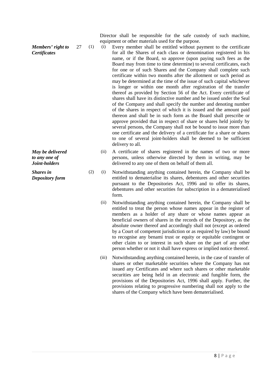*Members' right to Certificates*

*May be delivered to any one of Joint-holders*

*Shares in Depository form* Director shall be responsible for the safe custody of such machine, equipment or other materials used for the purpose.

- 27 (1) (i) Every member shall be entitled without payment to the certificate for all the Shares of each class or denomination registered in his name, or if the Board, so approve (upon paying such fees as the Board may from time to time determine) to several certificates, each for one or of such Shares and the Company shall complete such certificate within two months after the allotment or such period as may be determined at the time of the issue of such capital whichever is longer or within one month after registration of the transfer thereof as provided by Section 56 of the Act. Every certificate of shares shall have its distinctive number and be issued under the Seal of the Company and shall specify the number and denoting number of the shares in respect of which it is issued and the amount paid thereon and shall be in such form as the Board shall prescribe or approve provided that in respect of share or shares held jointly by several persons, the Company shall not be bound to issue more than one certificate and the delivery of a certificate for a share or shares to one of several joint-holders shall be deemed to be sufficient delivery to all.
	- (ii) A certificate of shares registered in the names of two or more persons, unless otherwise directed by them in writing, may be delivered to any one of them on behalf of them all.
	- (2) (i) Notwithstanding anything contained herein, the Company shall be entitled to dematerialise its shares, debentures and other securities pursuant to the Depositories Act, 1996 and to offer its shares, debentures and other securities for subscription in a dematerialised form.
		- (ii) Notwithstanding anything contained herein, the Company shall be entitled to treat the person whose names appear in the register of members as a holder of any share or whose names appear as beneficial owners of shares in the records of the Depository, as the absolute owner thereof and accordingly shall not (except as ordered by a Court of competent jurisdiction or as required by law) be bound to recognise any benami trust or equity or equitable contingent or other claim to or interest in such share on the part of any other person whether or not it shall have express or implied notice thereof.
		- (iii) Notwithstanding anything contained herein, in the case of transfer of shares or other marketable securities where the Company has not issued any Certificates and where such shares or other marketable securities are being held in an electronic and fungible form, the provisions of the Depositories Act, 1996 shall apply. Further, the provisions relating to progressive numbering shall not apply to the shares of the Company which have been dematerialised.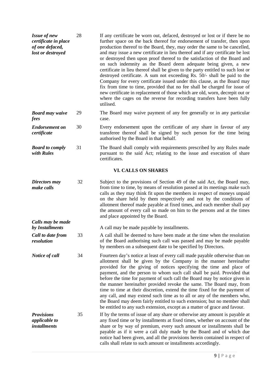| <b>Issue of new</b><br>certificate in place<br>of one defaced,<br>lost or destroyed | 28 | If any certificate be worn out, defaced, destroyed or lost or if there be no<br>further space on the back thereof for endorsement of transfer, then upon<br>production thereof to the Board, they, may order the same to be cancelled,<br>and may issue a new certificate in lieu thereof and if any certificate be lost<br>or destroyed then upon proof thereof to the satisfaction of the Board and<br>on such indemnity as the Board deem adequate being given, a new<br>certificate in lieu thereof shall be given to the party entitled to such lost or<br>destroyed certificate. A sum not exceeding Rs. 50/- shall be paid to the<br>Company for every certificate issued under this clause, as the Board may<br>fix from time to time, provided that no fee shall be charged for issue of<br>new certificate in replacement of those which are old, worn, decrepit out or<br>where the cages on the reverse for recording transfers have been fully<br>utilised. |
|-------------------------------------------------------------------------------------|----|--------------------------------------------------------------------------------------------------------------------------------------------------------------------------------------------------------------------------------------------------------------------------------------------------------------------------------------------------------------------------------------------------------------------------------------------------------------------------------------------------------------------------------------------------------------------------------------------------------------------------------------------------------------------------------------------------------------------------------------------------------------------------------------------------------------------------------------------------------------------------------------------------------------------------------------------------------------------------|
| <b>Board may waive</b><br>fees                                                      | 29 | The Board may waive payment of any fee generally or in any particular<br>case.                                                                                                                                                                                                                                                                                                                                                                                                                                                                                                                                                                                                                                                                                                                                                                                                                                                                                           |
| <b>Endorsement</b> on<br>certificate                                                | 30 | Every endorsement upon the certificate of any share in favour of any<br>transferee thereof shall be signed by such person for the time being<br>authorised by the Board in that behalf.                                                                                                                                                                                                                                                                                                                                                                                                                                                                                                                                                                                                                                                                                                                                                                                  |
| <b>Board to comply</b><br>with Rules                                                | 31 | The Board shall comply with requirements prescribed by any Rules made<br>pursuant to the said Act; relating to the issue and execution of share<br>certificates.                                                                                                                                                                                                                                                                                                                                                                                                                                                                                                                                                                                                                                                                                                                                                                                                         |
|                                                                                     |    | <b>VI. CALLS ON SHARES</b>                                                                                                                                                                                                                                                                                                                                                                                                                                                                                                                                                                                                                                                                                                                                                                                                                                                                                                                                               |
| Directors may<br>make calls                                                         | 32 | Subject to the provisions of Section 49 of the said Act, the Board may,<br>from time to time, by means of resolution passed at its meetings make such<br>calls as they may think fit upon the members in respect of moneys unpaid<br>on the share held by them respectively and not by the conditions of<br>allotment thereof made payable at fixed times, and each member shall pay<br>the amount of every call so made on him to the persons and at the times<br>and place appointed by the Board.                                                                                                                                                                                                                                                                                                                                                                                                                                                                     |
| Calls may be made<br>by Installments                                                |    | A call may be made payable by installments.                                                                                                                                                                                                                                                                                                                                                                                                                                                                                                                                                                                                                                                                                                                                                                                                                                                                                                                              |
| Call to date from<br>resolution                                                     | 33 | A call shall be deemed to have been made at the time when the resolution<br>of the Board authorising such call was passed and may be made payable<br>by members on a subsequent date to be specified by Directors.                                                                                                                                                                                                                                                                                                                                                                                                                                                                                                                                                                                                                                                                                                                                                       |
| <b>Notice of call</b>                                                               | 34 | Fourteen day's notice at least of every call made payable otherwise than on<br>allotment shall be given by the Company in the manner hereinafter<br>provided for the giving of notices specifying the time and place of<br>payment, and the person to whom such call shall be paid. Provided that<br>before the time for payment of such call the Board may by notice given in<br>the manner hereinafter provided revoke the same. The Board may, from<br>time to time at their discretion, extend the time fixed for the payment of<br>any call, and may extend such time as to all or any of the members who,<br>the Board may deem fairly entitled to such extension; but no member shall<br>be entitled to any such extension, except as a matter of grace and favour.                                                                                                                                                                                               |
| <b>Provisions</b><br><i>applicable to</i><br><i>installments</i>                    | 35 | If by the terms of issue of any share or otherwise any amount is payable at<br>any fixed time or by installments at fixed times, whether on account of the<br>share or by way of premium, every such amount or installments shall be<br>payable as if it were a call duly made by the Board and of which due<br>notice had been given, and all the provisions herein contained in respect of<br>calls shall relate to such amount or installments accordingly.                                                                                                                                                                                                                                                                                                                                                                                                                                                                                                           |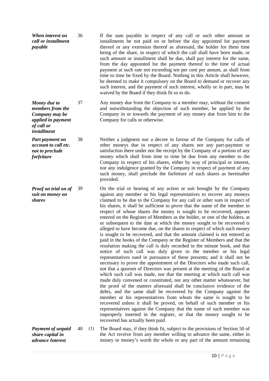*When interest on call or installment payable* 36 If the sum payable in respect of any call or such other amount or installments be not paid on or before the day appointed for payment thereof or any extension thereof as aforesaid, the holder for them time being of the share, in respect of which the call shall have been made, or such amount or installment shall be due, shall pay interest for the same, from the day appointed for the payment thereof to the time of actual payment at such rate not exceeding ten per cent per annum, as shall from time to time be fixed by the Board. Nothing in this Article shall however, be deemed to make it compulsory on the Board to demand or recover any such interest, and the payment of such interest, wholly or in part, may be waived by the Board if they think fit so to do.

> 37 Any money due from the Company to a member may, without the consent and notwithstanding the objection of such member, be applied by the Company in or towards the payment of any money due from him to the Company for calls or otherwise.

> 38 Neither a judgment nor a decree in favour of the Company for calls of other moneys due in respect of any shares nor any part-payment or satisfaction there under nor the receipt by the Company of a portion of any money which shall from time to time be due from any member to the Company in respect of his shares, either by way of principal or interest, nor any indulgence granted by the Company in respect of payment of any such money, shall preclude the forfeiture of such shares as hereinafter provided.

39 On the trial or hearing of any action or suit brought by the Company against any member or his legal representatives to recover any moneys claimed to be due to the Company for any call or other sum in respect of his shares, it shall be sufficient to prove that the name of the member in respect of whose shares the money is sought to be recovered, appears entered on the Register of Members as the holder, or one of the holders, at or subsequent to the date at which the money sought to be recovered is alleged to have become due, on the shares in respect of which such money is sought to be recovered, and that the amount claimed is not entered as paid in the books of the Company or the Register of Members and that the resolution making the call is duly recorded in the minute book, and that notice of such call was duly given to the member or his legal representatives sued in pursuance of these presents; and it shall not be necessary to prove the appointment of the Directors who made such call, not that a quorum of Directors was present at the meeting of the Board at which such call was made, nor that the meeting at which such call was made duly convened or constituted, nor any other matter whatsoever, but the proof of the matters aforesaid shall be conclusive evidence of the debts, and the same shall be recovered by the Company against the member or his representatives from whom the same is sought to be recovered unless it shall be proved, on behalf of such member or his representatives against the Company that the name of such member was improperly inserted in the register, or that the money sought to be recovered has actually been paid.

40 (1) The Board may, if they think fit, subject to the provisions of Section 50 of the Act receive from any member willing to advance the same, either in money or money's worth the whole or any part of the amount remaining

*Money due to members from the Company may be applied in payment* 

*Part payment on account to call etc. not to preclude forfeiture*

*of call or installment*

*Proof on trial on of suit on money on shares*

*Payment of unpaid share capital in advance Interest*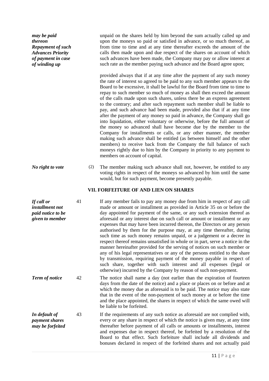| may be paid<br>thereon<br><b>Repayment of such</b><br><b>Advances Priority</b><br>of payment in case<br>of winding up |    |     | unpaid on the shares held by him beyond the sum actually called up and<br>upon the moneys so paid or satisfied in advance, or so much thereof, as<br>from time to time and at any time thereafter exceeds the amount of the<br>calls then made upon and due respect of the shares on account of which<br>such advances have been made, the Company may pay or allow interest at<br>such rate as the member paying such advance and the Board agree upon;<br>provided always that if at any time after the payment of any such money<br>the rate of interest so agreed to be paid to any such member appears to the<br>Board to be excessive, it shall be lawful for the Board from time to time to<br>repay to such member so much of money as shall then exceed the amount<br>of the calls made upon such shares, unless there be an express agreement<br>to the contrary; and after such repayment such member shall be liable to<br>pay, and such advance had been made, provided also that if at any time<br>after the payment of any money so paid in advance, the Company shall go<br>into liquidation, either voluntary or otherwise, before the full amount of<br>the money so advanced shall have become due by the member to the<br>Company for installments or calls, or any other manner, the member<br>making such advance shall be entitled (as between himself and the other<br>members) to receive back from the Company the full balance of such<br>moneys rightly due to him by the Company in priority to any payment to |
|-----------------------------------------------------------------------------------------------------------------------|----|-----|---------------------------------------------------------------------------------------------------------------------------------------------------------------------------------------------------------------------------------------------------------------------------------------------------------------------------------------------------------------------------------------------------------------------------------------------------------------------------------------------------------------------------------------------------------------------------------------------------------------------------------------------------------------------------------------------------------------------------------------------------------------------------------------------------------------------------------------------------------------------------------------------------------------------------------------------------------------------------------------------------------------------------------------------------------------------------------------------------------------------------------------------------------------------------------------------------------------------------------------------------------------------------------------------------------------------------------------------------------------------------------------------------------------------------------------------------------------------------------------------------------------------------------------------|
|                                                                                                                       |    |     | members on account of capital.                                                                                                                                                                                                                                                                                                                                                                                                                                                                                                                                                                                                                                                                                                                                                                                                                                                                                                                                                                                                                                                                                                                                                                                                                                                                                                                                                                                                                                                                                                              |
| No right to vote                                                                                                      |    | (2) | The member making such advance shall not, however, be entitled to any<br>voting rights in respect of the moneys so advanced by him until the same<br>would, but for such payment, become presently payable.                                                                                                                                                                                                                                                                                                                                                                                                                                                                                                                                                                                                                                                                                                                                                                                                                                                                                                                                                                                                                                                                                                                                                                                                                                                                                                                                 |
|                                                                                                                       |    |     | VII. FORFEITURE OF AND LIEN ON SHARES                                                                                                                                                                                                                                                                                                                                                                                                                                                                                                                                                                                                                                                                                                                                                                                                                                                                                                                                                                                                                                                                                                                                                                                                                                                                                                                                                                                                                                                                                                       |
| If call or<br>installment not<br>paid notice to be<br>given to member                                                 | 41 |     | If any member fails to pay any money due from him in respect of any call<br>made or amount or installment as provided in Article 35 on or before the<br>day appointed for payment of the same, or any such extension thereof as<br>aforesaid or any interest due on such call or amount or installment or any<br>expenses that may have been incurred thereon, the Directors or any person<br>authorised by them for the purpose may, at any time thereafter, during<br>such time as such money remains unpaid, or a judgement or a decree in<br>respect thereof remains unsatisfied in whole or in part, serve a notice in the<br>manner hereinafter provided for the serving of notices on such member or<br>any of his legal representatives or any of the persons entitled to the share<br>by transmission, requiring payment of the money payable in respect of<br>such share, together with such interest and all expenses (legal or<br>otherwise) incurred by the Company by reason of such non-payment.                                                                                                                                                                                                                                                                                                                                                                                                                                                                                                                             |
| Term of notice                                                                                                        | 42 |     | The notice shall name a day (not earlier than the expiration of fourteen<br>days from the date of the notice) and a place or places on or before and at<br>which the money due as aforesaid is to be paid. The notice may also state<br>that in the event of the non-payment of such money at or before the time<br>and the place appointed, the shares in respect of which the same owed will<br>be liable to be forfeited.                                                                                                                                                                                                                                                                                                                                                                                                                                                                                                                                                                                                                                                                                                                                                                                                                                                                                                                                                                                                                                                                                                                |
| In default of<br><i>payment shares</i><br>may be forfeited                                                            | 43 |     | If the requirements of any such notice as aforesaid are not complied with,<br>every or any share in respect of which the notice is given may, at any time<br>thereafter before payment of all calls or amounts or installments, interest<br>and expenses due in respect thereof, be forfeited by a resolution of the<br>Board to that effect. Such forfeiture shall include all dividends and<br>bonuses declared in respect of the forfeited shares and not actually paid                                                                                                                                                                                                                                                                                                                                                                                                                                                                                                                                                                                                                                                                                                                                                                                                                                                                                                                                                                                                                                                                  |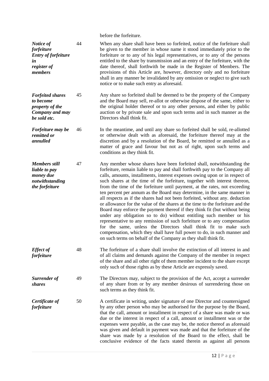before the forfeiture.

| Notice of<br>forfeiture<br><b>Entry of forfeiture</b><br>in<br>register of<br>members      | 44 | When any share shall have been so forfeited, notice of the forfeiture shall<br>be given to the member in whose name it stood immediately prior to the<br>forfeiture or to any of his legal representatives, or to any of the persons<br>entitled to the share by transmission and an entry of the forfeiture, with the<br>date thereof, shall forthwith be made in the Register of Members. The<br>provisions of this Article are, however, directory only and no forfeiture<br>shall in any manner be invalidated by any omission or neglect to give such<br>notice or to make such entry as aforesaid.                                                                                                                                                                                                                                                                                                                                                                                                                                                                                          |
|--------------------------------------------------------------------------------------------|----|---------------------------------------------------------------------------------------------------------------------------------------------------------------------------------------------------------------------------------------------------------------------------------------------------------------------------------------------------------------------------------------------------------------------------------------------------------------------------------------------------------------------------------------------------------------------------------------------------------------------------------------------------------------------------------------------------------------------------------------------------------------------------------------------------------------------------------------------------------------------------------------------------------------------------------------------------------------------------------------------------------------------------------------------------------------------------------------------------|
| <b>Forfeited shares</b><br>to become<br>property of the<br>Company and may<br>be sold etc. | 45 | Any share so forfeited shall be deemed to be the property of the Company<br>and the Board may sell, re-allot or otherwise dispose of the same, either to<br>the original holder thereof or to any other persons, and either by public<br>auction or by private sale and upon such terms and in such manner as the<br>Directors shall think fit.                                                                                                                                                                                                                                                                                                                                                                                                                                                                                                                                                                                                                                                                                                                                                   |
| Forfeiture may be<br>remitted or<br>annulled                                               | 46 | In the meantime, and until any share so forfeited shall be sold, re-allotted<br>or otherwise dealt with as aforesaid, the forfeiture thereof may at the<br>discretion and by a resolution of the Board, be remitted or annulled as a<br>matter of grace and favour but not as of right, upon such terms and<br>conditions as they think fit.                                                                                                                                                                                                                                                                                                                                                                                                                                                                                                                                                                                                                                                                                                                                                      |
| <b>Members still</b><br>liable to pay<br>money due<br>notwithstanding<br>the forfeiture    | 47 | Any member whose shares have been forfeited shall, notwithstanding the<br>forfeiture, remain liable to pay and shall forthwith pay to the Company all<br>calls, amounts, installments, interest expenses owing upon or in respect of<br>such shares at the time of the forfeiture, together with interest thereon,<br>from the time of the forfeiture until payment, at the rates, not exceeding<br>ten percent per annum as the Board may determine, in the same manner in<br>all respects as if the shares had not been forfeited, without any. deduction<br>or allowance for the value of the shares at the time to the forfeiture and the<br>Board may enforce the payment thereof if they think fit (but without being<br>under any obligation so to do) without entitling such member or his<br>representative to any remission of such forfeiture or to any compensation<br>for the same, unless the Directors shall think fit to make such<br>compensation, which they shall have full power to do, in such manner and<br>on such terms on behalf of the Company as they shall think fit. |
| <b>Effect</b> of<br>forfeiture                                                             | 48 | The forfeiture of a share shall involve the extinction of all interest in and<br>of all claims and demands against the Company of the member in respect<br>of the share and ail other right of them member incident to the share except<br>only such of those rights as by these Article are expressly saved.                                                                                                                                                                                                                                                                                                                                                                                                                                                                                                                                                                                                                                                                                                                                                                                     |
| Surrender of<br><i>shares</i>                                                              | 49 | The Directors may, subject to the provision of the Act, accept a surrender<br>of any share from or by any member desirous of surrendering those on<br>such terms as they think fit.                                                                                                                                                                                                                                                                                                                                                                                                                                                                                                                                                                                                                                                                                                                                                                                                                                                                                                               |
| Certificate of<br>forfeiture                                                               | 50 | A certificate in writing, under signature of one Director and countersigned<br>by any other person who may be authorised for the purpose by the Board,<br>that the call, amount or installment in respect of a share was made or was<br>due or the interest in respect of a call, amount or installment was or the<br>expenses were payable, as the case may be, the notice thereof as aforesaid<br>was given and default in payment was made and that the forfeiture of the<br>share was made by a resolution of the Board to the effect, shall be<br>conclusive evidence of the facts stated therein as against all persons                                                                                                                                                                                                                                                                                                                                                                                                                                                                     |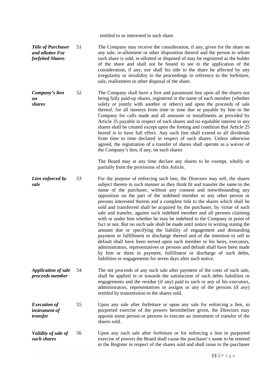|                                                                   |    | entitled to or interested in such share.                                                                                                                                                                                                                                                                                                                                                                                                                                                                                                                                                                                                                                                                                                                                                                                                                                                                                                                                                                                                                                                                                                                                |
|-------------------------------------------------------------------|----|-------------------------------------------------------------------------------------------------------------------------------------------------------------------------------------------------------------------------------------------------------------------------------------------------------------------------------------------------------------------------------------------------------------------------------------------------------------------------------------------------------------------------------------------------------------------------------------------------------------------------------------------------------------------------------------------------------------------------------------------------------------------------------------------------------------------------------------------------------------------------------------------------------------------------------------------------------------------------------------------------------------------------------------------------------------------------------------------------------------------------------------------------------------------------|
| <b>Title of Purchaser</b><br>and allottee For<br>forfeited Shares | 51 | The Company may receive the consideration, if any, given for the share on<br>any sale, re-allotment or other disposition thereof and the person to whom<br>such share is sold, re-allotted or disposed of may be registered as the holder<br>of the share and shall not be bound to see to the application of the<br>consideration, if any, nor shall his title to the share be affected by any<br>irregularity or invalidity in the proceedings in reference to the forfeiture,<br>sale, reallotment or other disposal of the share.                                                                                                                                                                                                                                                                                                                                                                                                                                                                                                                                                                                                                                   |
| Company's lien<br>on<br><i>shares</i>                             | 52 | The Company shall have a first and paramount lien upon all the shares not<br>being fully paid-up shares, registered in the name of each member (whether<br>solely or jointly with another or others) and upon the proceeds of sale<br>thereof, for all moneys from time to time due or payable by him to the<br>Company for calls made and all amounts or installments as provided by<br>Article 35 payable in respect of such shares and no equitable interest in any<br>shares shall be created except upon the footing and condition that Article 25<br>hereof is to have full effect. Any such lien shall extend to all dividends<br>from time to time declared in respect of such shares. Unless otherwise<br>agreed, the registration of a transfer of shares shall operate as a waiver of<br>the Company's lien, if any, on such shares<br>The Board may at any time declare any shares to be exempt, wholly or<br>partially from the provisions of this Article.                                                                                                                                                                                                |
| Lien enforced by<br>sale                                          | 53 | For the purpose of enforcing such lien, the Directors may sell, the shares<br>subject thereto in such manner as they think fit and transfer the same to the<br>name of the purchaser, without any consent and notwithstanding any<br>opposition on the part of the indebted member or any other person or<br>persons interested therein and a complete title to the shares which shall be<br>sold and transferred shall be acquired by the purchaser, by virtue of such<br>sale and transfer, against such indebted member and all persons claiming<br>with or under him whether he may be indebted to the Company in point of<br>fact or not. But no such sale shall be made until notice in writing stating the<br>amount due or specifying the liability of engagement and demanding<br>payment or fulfillment or discharge thereof and of the intention to sell in<br>default shall have been served upon such member or his heirs, executors,<br>administrators, representatives or persons and default shall have been made<br>by him or them in payment, fulfillment or discharge of such debts,<br>liabilities or engagements for seven days after such notice. |
| <b>Application of sale</b><br>proceeds member                     | 54 | The net proceeds of any such sale after payment of the costs of such sale,<br>shall be applied in or towards the satisfaction of such debts liabilities or<br>engagements and the residue (if any) paid to such or any of his executors,<br>administrators, representatives or assigns or any of the persons (if any)<br>entitled by transmission to the shares sold.                                                                                                                                                                                                                                                                                                                                                                                                                                                                                                                                                                                                                                                                                                                                                                                                   |
| <b>Execution of</b><br>instrument of<br>transfer                  | 55 | Upon any sale after forfeiture or upon any sale for enforcing a lien, in<br>purported exercise of the powers hereinbefore given, the Directors may<br>appoint some person or persons to execute an instrument of transfer of the<br>shares sold.                                                                                                                                                                                                                                                                                                                                                                                                                                                                                                                                                                                                                                                                                                                                                                                                                                                                                                                        |
| Validity of sale of<br>such shares                                | 56 | Upon any such sale after forfeiture or for enforcing a lien in purported<br>exercise of powers the Board shall cause the purchaser's name to be entered<br>in the Register in respect of the shares sold and shall issue to the purchaser                                                                                                                                                                                                                                                                                                                                                                                                                                                                                                                                                                                                                                                                                                                                                                                                                                                                                                                               |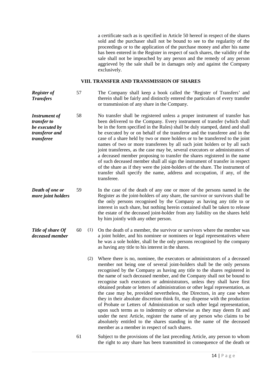a certificate such as is specified in Article 50 hereof in respect of the shares sold and the purchaser shall not be bound to see to the regularity of the proceedings or to the application of the purchase money and after his name has been entered in the Register in respect of such shares, the validity of the sale shall not be impeached by any person and the remedy of any person aggrieved by the sale shall be in damages only and against the Company exclusively.

#### **VIII. TRANSFER AND TRANSMISSION OF SHARES**

*Register of Transfers* 57 The Company shall keep a book called the 'Register of Transfers' and therein shall be fairly and distinctly entered the particulars of every transfer or transmission of any share in the Company.

- *Instrument of transfer to be executed by transferor and transferee* 58 No transfer shall be registered unless a proper instrument of transfer has been delivered to the Company. Every instrument of transfer (which shall be in the form specified in the Rules) shall be duly stamped, dated and shall be executed by or on behalf of the transferor and the transferee and in the case of a share held by two or more holders or to be transferred to the joint names of two or more transferees by all such joint holders or by all such joint transferees, as the case may be, several executors or administrators of a deceased member proposing to transfer the shares registered in the name of such deceased member shall all sign the instrument of transfer in respect of the share as if they were the joint-holders of the share. The instrument of transfer shall specify the name, address and occupation, if any, of the transferee.
- *Death of one or more joint holders* 59 In the case of the death of any one or more of the persons named in the Register as the joint-holders of any share, the survivor or survivors shall be the only persons recognised by the Company as having any title to or interest in such share, but nothing herein contained shall be taken to release the estate of the deceased joint-holder from any liability on the shares held by him jointly with any other person.
- *Title of share Of deceased member* 60 (1) On the death of a member, the survivor or survivors where the member was a joint holder, and his nominee or nominees or legal representatives where he was a sole holder, shall be the only persons recognised by the company as having any title to his interest in the shares.
	- (2) Where there is no, nominee, the executors or administrators of a deceased member not being one of several joint-holders shall be the only persons recognised by the Company as having any title to the shares registered in the name of such deceased member, and the Company shall not be bound to recognise such executors or administrators, unless they shall have first obtained probate or letters of administration or other legal representation, as the case may be, provided nevertheless, the Directors, in any case where they in their absolute discretion think fit, may dispense with the production of Probate or Letters of Administration or such other legal representation, upon such terms as to indemnity or otherwise as they may deem fit and under the next Article, register the name of any person who claims to be absolutely entitled to the shares standing in the name of the deceased member as a member in respect of such shares.
	- 61 Subject to the provisions of the last preceding Article, any person to whom the right to any share has been transmitted in consequence of the death or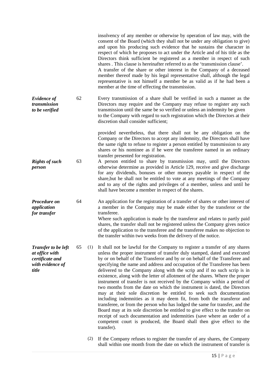|                                                                                              |    |     | insolvency of any member or otherwise by operation of law may, with the<br>consent of the Board (which they shall not be under any obligation to give)<br>and upon his producing such evidence that he sustains the character in<br>respect of which he proposes to act under the Article and of his title as the<br>Directors think sufficient be registered as a member in respect of such<br>shares. This clause is hereinafter referred to as the 'transmission clause'.<br>A transfer of the share or other interest in the Company of a deceased<br>member thereof made by his legal representative shall, although the legal<br>representative is not himself a member be as valid as if he had been a<br>member at the time of effecting the transmission.                                                                                                                                                                                                                                                                                                                                                            |
|----------------------------------------------------------------------------------------------|----|-----|-------------------------------------------------------------------------------------------------------------------------------------------------------------------------------------------------------------------------------------------------------------------------------------------------------------------------------------------------------------------------------------------------------------------------------------------------------------------------------------------------------------------------------------------------------------------------------------------------------------------------------------------------------------------------------------------------------------------------------------------------------------------------------------------------------------------------------------------------------------------------------------------------------------------------------------------------------------------------------------------------------------------------------------------------------------------------------------------------------------------------------|
| <b>Evidence of</b><br>transmission<br>to be verified                                         | 62 |     | Every transmission of a share shall be verified in such a manner as the<br>Directors may require and the Company may refuse to register any such<br>transmission until the same be so verified or unless an indemnity be given<br>to the Company with regard to such registration which the Directors at their<br>discretion shall consider sufficient;                                                                                                                                                                                                                                                                                                                                                                                                                                                                                                                                                                                                                                                                                                                                                                       |
| <b>Rights of such</b>                                                                        | 63 |     | provided nevertheless, that there shall not be any obligation on the<br>Company or the Directors to accept any indemnity, the Directors shall have<br>the same right to refuse to register a person entitled by transmission to any<br>shares or his nominee as if he were the transferee named in an ordinary<br>transfer presented for registration.<br>A person entitled to share by transmission may, until the Directors                                                                                                                                                                                                                                                                                                                                                                                                                                                                                                                                                                                                                                                                                                 |
| person                                                                                       |    |     | otherwise determine as provided in Article 129, receive and give discharge<br>for any dividends, bonuses or other moneys payable in respect of the<br>share, but he shall not be entitled to vote at any meetings of the Company<br>and to any of the rights and privileges of a member, unless and until he<br>shall have become a member in respect of the shares.                                                                                                                                                                                                                                                                                                                                                                                                                                                                                                                                                                                                                                                                                                                                                          |
| Procedure on<br>application<br>for transfer                                                  | 64 |     | An application for the registration of a transfer of shares or other interest of<br>a member in the Company may be made either by the transferor or the<br>transferee.<br>Where such application is made by the transferor and relates to partly paid<br>shares, the transfer shall not be registered unless the Company gives notice<br>of the application to the transferee and the transferee makes no objection to<br>the transfer within two weeks from the delivery of the notice.                                                                                                                                                                                                                                                                                                                                                                                                                                                                                                                                                                                                                                      |
| <b>Transfer to be left</b><br>at office with<br>certificate and<br>with evidence of<br>title | 65 | (1) | It shall not be lawful for the Company to register a transfer of any shares<br>unless the proper instrument of transfer duly stamped, dated and executed<br>by or on behalf of the Transferor and by or on behalf of the Transferee and<br>specifying the name and address and occupation of the Transferee has been<br>delivered to the Company along with the scrip and if no such scrip is in<br>existence, along with the letter of allotment of the shares. Where the proper<br>instrument of transfer is not received by the Company within a period of<br>two months from the date on which the instrument is dated, the Directors<br>may at their sole discretion be entitled to seek such documentation<br>including indemnities as it may deem fit, from both the transferor and<br>transferee, or from the person who has lodged the same for transfer, and the<br>Board may at its sole discretion be entitled to give effect to the transfer on<br>receipt of such documentation and indemnities (save where an order of a<br>competent court is produced, the Board shall then give effect to the<br>transfer). |
|                                                                                              |    | (2) | If the Company refuses to register the transfer of any shares, the Company<br>shall within one month from the date on which the instrument of transfer is                                                                                                                                                                                                                                                                                                                                                                                                                                                                                                                                                                                                                                                                                                                                                                                                                                                                                                                                                                     |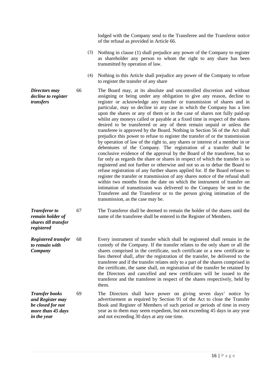lodged with the Company send to the Transferee and the Transferor notice of the refusal as provided in Article 66.

- (3) Nothing in clause (1) shall prejudice any power of the Company to register as shareholder any person to whom the right to any share has been transmitted by operation of law.
- (4) Nothing in this Article shall prejudice any power of the Company to refuse to register the transfer of any share

66 The Board may, at its absolute and uncontrolled discretion and without assigning or being under any obligation to give any reason, decline to register or acknowledge any transfer or transmission of shares and in particular, may so decline in any case in which the Company has a lien upon the shares or any of them or in the case of shares not fully paid-up whilst any moneys called or payable at a fixed time in respect of the shares desired to be transferred or any of them remain unpaid or unless the transferee is approved by the Board. Nothing in Section 56 of the Act shall prejudice this power to refuse to register the transfer of or the transmission by operation of law of the right to, any shares or interest of a member in or debentures of the Company. The registration of a transfer shall be conclusive evidence of the approval by the Board of the transferee, but so far only as regards the share or shares in respect of which the transfer is so registered and not further or otherwise and not so as to debar the Board to refuse registration of any further shares applied for. If the Board refuses to register the transfer or transmission of any shares notice of the refusal shall within two months from the date on which the instrument of transfer on intimation of transmission was delivered to the Company be sent to the Transferee and the Transferor or to the person giving intimation of the transmission, as the case may be.

*Transferor to remain holder of*  67 The Transferor shall be deemed to remain the holder of the shares until the name of the transferee shall be entered in the Register of Members.

*Registered transfer to remain with Company* 68 Every instrument of transfer which shall be registered shall remain in the custody of the Company. If the transfer relates to the only share or all the shares comprised in the certificate, such certificate or a new certificate in lieu thereof shall, after the registration of the transfer, be delivered to the transferee and if the transfer relates only to a part of the shares comprised in the certificate, the same shall, on registration of the transfer be retained by the Directors and cancelled and new certificates will be issued to the transferor and the transferee in respect of the shares respectively, held by them.

*Transfer books and Register may be closed for not more than 45 days in the year* 69 The Directors shall have power on giving seven days' notice by advertisement as required by Section 91 of the Act to close the Transfer Book and Register of Members of such period or periods of time in every year as to them may seem expedient, but not exceeding 45 days in any year and not exceeding 30 days at any one time.

*Directors may decline to register transfers*

*shares till transfer* 

*registered*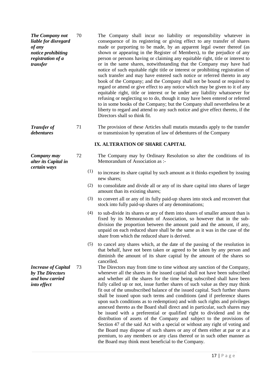| The Company not      | 70 | The Company shall incur no liability or responsibility whatever in              |
|----------------------|----|---------------------------------------------------------------------------------|
| liable for disregard |    | consequence of its registering or giving effect to any transfer of shares       |
| of any               |    | made or purporting to be made, by an apparent legal owner thereof (as           |
| notice prohibiting   |    | shown or appearing in the Register of Members), to the prejudice of any         |
| registration of a    |    | person or persons having or claiming any equitable right, title or interest to  |
| transfer             |    | or in the same shares, notwithstanding that the Company may have had            |
|                      |    | notice of such equitable right title or interest or prohibiting registration of |
|                      |    | such transfer and may have entered such notice or referred thereto in any       |
|                      |    | book of the Company; and the Company shall not be bound or required to          |
|                      |    | regard or attend or give effect to any notice which may be given to it of any   |
|                      |    | equitable right, title or interest or be under any liability whatsoever for     |
|                      |    | refusing or neglecting so to do, though it may have been entered or referred    |
|                      |    | to in some books of the Company; but the Company shall nevertheless be at       |
|                      |    | liberty to regard and attend to any such notice and give effect thereto, if the |
|                      |    | Directors shall so think fit.                                                   |
|                      |    |                                                                                 |

*Transfer of debentures* 71 The provision of these Articles shall mutatis mutandis apply to the transfer or transmission by operation of law of debentures of the Company

## **IX. ALTERATION OF SHARE CAPITAL**

- 72 The Company may by Ordinary Resolution so alter the conditions of its Memorandum of Association as :-
	- (1) to increase its share capital by such amount as it thinks expedient by issuing new shares;
	- (2) to consolidate and divide all or any of its share capital into shares of larger amount than its existing shares;
	- (3) to convert all or any of its fully paid-up shares into stock and reconvert that stock into fully paid-up shares of any denominations;
	- (4) to sub-divide its shares or any of them into shares of smaller amount than is fixed by its Memorandum of Association, so however that in the subdivision the proportion between the amount paid and the amount, if any, unpaid on each reduced share shall be the same as it was in the case of the share from which the reduced share is derived.
	- (5) to cancel any shares which, at the date of the passing of the resolution in that behalf, have not been taken or agreed to be taken by any person and diminish the amount of its share capital by the amount of the shares so cancelled.
- 73 The Directors may from time to time without any sanction of the Company, whenever all the shares in the issued capital shall not have been subscribed and whether all the shares for the time being subscribed shall have been fully called up or not, issue further shares of such value as they may think fit out of the unsubscribed balance of the issued capital. Such further shares shall be issued upon such terms and conditions (and if preference shares upon such conditions as to redemption) and with such rights and privileges annexed thereto as the Board shall direct and in particular, such shares may be issued with a preferential or qualified right to dividend and in the distribution of assets of the Company and subject to the provisions of Section 47 of the said Act with a special or without any right of voting and the Board may dispose of such shares or any of them either at par or at a premium, to any members or any class thereof or in such other manner as the Board may think most beneficial to the Company.

*Increase of Capital by The Directors and how carried into effect*

*Company may alter its Capital in certain ways*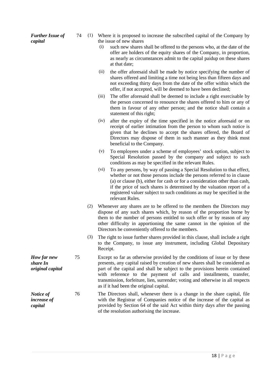*Further Issue of capital*

- 74 (1) Where it is proposed to increase the subscribed capital of the Company by the issue of new shares
	- (i) such new shares shall be offered to the persons who, at the date of the offer are holders of the equity shares of the Company, in proportion, as nearly as circumstances admit to the capital paidup on these shares at that date;
	- (ii) the offer aforesaid shall be made by notice specifying the number of shares offered and limiting a time not being less than fifteen days and not exceeding thirty days from the date of the offer within which the offer, if not accepted, will be deemed to have been declined;
	- (iii) The offer aforesaid shall be deemed to include a right exercisable by the person concerned to renounce the shares offered to him or any of them in favour of any other person; and the notice shall contain a statement of this right;
	- (iv) after the expiry of the time specified in the notice aforesaid or on receipt of earlier intimation from the person to whom such notice is given that he declines to accept the shares offered, the Board of Directors may dispose of them in such manner as they think most beneficial to the Company.
	- (v) To employees under a scheme of employees' stock option, subject to Special Resolution passed by the company and subject to such conditions as may be specified in the relevant Rules.
	- (vi) To any persons, by way of passing a Special Resolution to that effect, whether or not those persons include the persons referred to in clause (a) or clause (b), either for cash or for a consideration other than cash, if the price of such shares is determined by the valuation report of a registered valuer subject to such conditions as may be specified in the relevant Rules.
	- (2) Whenever any shares are to be offered to the members the Directors may dispose of any such shares which, by reason of the proportion borne by them to the number of persons entitled to such offer or by reason of any other difficulty in apportioning the same cannot in the opinion of the Directors be conveniently offered to the members.
	- (3) The right to issue further shares provided in this clause, shall include a right to the Company, to issue any instrument, including Global Depositary Receipt.
- 75 Except so far as otherwise provided by the conditions of issue or by these presents, any capital raised by creation of new shares shall be considered as part of the capital and shall be subject to the provisions herein contained with reference to the payment of calls and installments, transfer, transmission, forfeiture, lien, surrender; voting and otherwise in all respects as if it had been the original capital.
- 76 The Directors shall, whenever there is a change in the share capital, file with the Registrar of Companies notice of the increase of the capital as provided by Section 64 of the said Act within thirty days after the passing of the resolution authorising the increase.

*How far new share In original capital*

*Notice of increase of capital*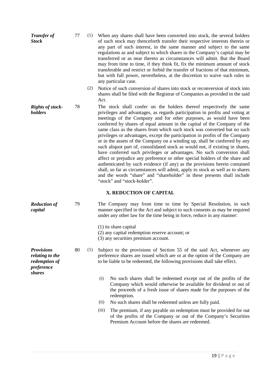| <b>Transfer of</b><br><b>Stock</b>                                                   | 77 | (1) | When any shares shall have been converted into stock, the several holders<br>of such stock may thenceforth transfer their respective interests therein or<br>any part of such interest, in the same manner and subject to the same<br>regulations as and subject to which shares in the Company's capital may be<br>transferred or as near thereto as circumstances will admit. But the Board<br>may from time to time, if they think fit, fix the minimum amount of stock<br>transferable and restrict or forbid the transfer of fractions of that minimum,<br>but with full power, nevertheless, at the discretion to waive such rules in<br>any particular case.                                                                                                                                                                                                                                                                                                                                                                                                                             |
|--------------------------------------------------------------------------------------|----|-----|-------------------------------------------------------------------------------------------------------------------------------------------------------------------------------------------------------------------------------------------------------------------------------------------------------------------------------------------------------------------------------------------------------------------------------------------------------------------------------------------------------------------------------------------------------------------------------------------------------------------------------------------------------------------------------------------------------------------------------------------------------------------------------------------------------------------------------------------------------------------------------------------------------------------------------------------------------------------------------------------------------------------------------------------------------------------------------------------------|
|                                                                                      |    | (2) | Notice of such conversion of shares into stock or reconversion of stock into<br>shares shall be filed with the Registrar of Companies as provided in the said<br>Act.                                                                                                                                                                                                                                                                                                                                                                                                                                                                                                                                                                                                                                                                                                                                                                                                                                                                                                                           |
| <b>Rights of stock-</b><br>holders                                                   | 78 |     | The stock shall confer on the holders thereof respectively the same<br>privileges and advantages, as regards participation in profits and voting at<br>meetings of the Company and for other purposes, as would have been<br>conferred by shares of equal amount in the capital of the Company of the<br>same class as the shares from which such stock was converted but no such<br>privileges or advantages, except the participation in profits of the Company<br>or in the assets of the Company on a winding up, shall be conferred by any<br>such aliquot part of, consolidated stock as would not, if existing in shares,<br>have conferred such privileges or advantages. No such conversion shall<br>affect or prejudice any preference or other special holders of the share and<br>authenticated by such evidence (if any) as the provisions herein contained<br>shall, so far as circumstances will admit, apply to stock as well as to shares<br>and the words "share" and "shareholder" in these presents shall include<br>"stock" and "stock-holder".<br>X. REDUCTION OF CAPITAL |
|                                                                                      |    |     |                                                                                                                                                                                                                                                                                                                                                                                                                                                                                                                                                                                                                                                                                                                                                                                                                                                                                                                                                                                                                                                                                                 |
| <b>Reduction of</b><br>capital                                                       | 79 |     | The Company may from time to time by Special Resolution, in such<br>manner specified in the Act and subject to such consents as may be required<br>under any other law for the time being in force, reduce in any manner:                                                                                                                                                                                                                                                                                                                                                                                                                                                                                                                                                                                                                                                                                                                                                                                                                                                                       |
|                                                                                      |    |     | $(1)$ its share capital<br>(2) any capital redemption reserve account; or<br>(3) any securities premium account.                                                                                                                                                                                                                                                                                                                                                                                                                                                                                                                                                                                                                                                                                                                                                                                                                                                                                                                                                                                |
| <b>Provisions</b><br>relating to the<br>redemption of<br>preference<br><i>shares</i> | 80 | (1) | Subject to the provisions of Section 55 of the said Act, whenever any<br>preference shares are issued which are or at the option of the Company are<br>to be liable to be redeemed, the following provisions shall take effect.                                                                                                                                                                                                                                                                                                                                                                                                                                                                                                                                                                                                                                                                                                                                                                                                                                                                 |
|                                                                                      |    |     | (i)<br>No such shares shall be redeemed except out of the profits of the<br>Company which would otherwise be available for dividend or out of<br>the proceeds of a fresh issue of shares made for the purposes of the<br>redemption.                                                                                                                                                                                                                                                                                                                                                                                                                                                                                                                                                                                                                                                                                                                                                                                                                                                            |
|                                                                                      |    |     | (ii)<br>No such shares shall be redeemed unless are fully paid.                                                                                                                                                                                                                                                                                                                                                                                                                                                                                                                                                                                                                                                                                                                                                                                                                                                                                                                                                                                                                                 |
|                                                                                      |    |     | The premium, if any payable on redemption must be provided for out<br>(iii)<br>of the profits of the Company or out of the Company's Securities<br>Premium Account before the shares are redeemed.                                                                                                                                                                                                                                                                                                                                                                                                                                                                                                                                                                                                                                                                                                                                                                                                                                                                                              |
|                                                                                      |    |     |                                                                                                                                                                                                                                                                                                                                                                                                                                                                                                                                                                                                                                                                                                                                                                                                                                                                                                                                                                                                                                                                                                 |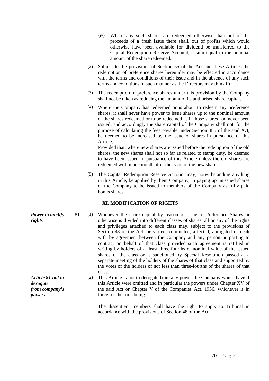- (iv) Where any such shares are redeemed otherwise than out of the proceeds of a fresh issue there shall, out of profits which would otherwise have been available for dividend be transferred to the Capital Redemption Reserve Account, a sum equal to the nominal amount of the share redeemed.
- (2) Subject to the provisions of Section 55 of the Act and these Articles the redemption of preference shares hereunder may be effected in accordance with the terms and conditions of their issue and in the absence of any such terms and conditions in such manner as the Directors may think fit.
- (3) The redemption of preference shares under this provision by the Company shall not be taken as reducing the amount of its authorised share capital.
- (4) Where the Company has redeemed or is about to redeem any preference shares, it shall never have power to issue shares up to the nominal amount of the shares redeemed or to be redeemed as if those shares had never been issued; and accordingly the share capital of the Company shall not, for the purpose of calculating the fees payable under Section 385 of the said Act, be deemed to be increased by the issue of shares in pursuance of this Article.

Provided that, where new shares are issued before the redemption of the old shares, the new shares shall not so far as related to stamp duty, be deemed to have been issued in pursuance of this Article unless the old shares are redeemed within one month after the issue of the new shares.

(5) The Capital Redemption Reserve Account may, notwithstanding anything in this Article, be applied by them Company, in paying up unissued shares of the Company to be issued to members of the Company as fully paid bonus shares.

## **XI. MODIFICATION OF RIGHTS**

- *Power to modify rights* 81 (1) Whenever the share capital by reason of issue of Preference Shares or otherwise is divided into different classes of shares, all or any of the rights and privileges attached to each class may, subject to the provisions of Section 48 of the Act, be varied, commuted, affected, abrogated or dealt with by agreement between the Company and any person purporting to contract on behalf of that class provided such agreement is ratified in writing by holders of at least three-fourths of nominal value of the issued shares of the class or is sanctioned by Special Resolution passed at a separate meeting of the holders of the shares of that class and supported by the votes of the holders of not less than three-fourths of the shares of that class.
	- (2) This Article is not to derogate from any power the Company would have if this Article were omitted and in particular the powers under Chapter XV of the said Act or Chapter V of the Companies Act, 1956, whichever is in force for the time being.

The dissentient members shall have the right to apply to Tribunal in accordance with the provisions of Section 48 of the Act.

*Article 81 not to derogate from company's powers*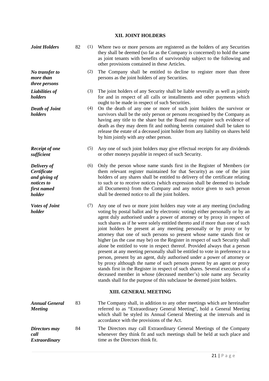# **XII. JOINT HOLDERS**

| <b>Joint Holders</b>                                                               | 82 | (1) | Where two or more persons are registered as the holders of any Securities<br>they shall be deemed (so far as the Company is concerned) to hold the same<br>as joint tenants with benefits of survivorship subject to the following and<br>other provisions contained in these Articles.                                                                                                                                                                                                                                                                                                                                                                                                                                                                                                                                                                                                                                                                                                                                                                                                                                 |
|------------------------------------------------------------------------------------|----|-----|-------------------------------------------------------------------------------------------------------------------------------------------------------------------------------------------------------------------------------------------------------------------------------------------------------------------------------------------------------------------------------------------------------------------------------------------------------------------------------------------------------------------------------------------------------------------------------------------------------------------------------------------------------------------------------------------------------------------------------------------------------------------------------------------------------------------------------------------------------------------------------------------------------------------------------------------------------------------------------------------------------------------------------------------------------------------------------------------------------------------------|
| No transfer to<br>more than<br>three persons                                       |    | (2) | The Company shall be entitled to decline to register more than three<br>persons as the joint holders of any Securities.                                                                                                                                                                                                                                                                                                                                                                                                                                                                                                                                                                                                                                                                                                                                                                                                                                                                                                                                                                                                 |
| <b>Liabilities of</b><br>holders                                                   |    | (3) | The joint holders of any Security shall be liable severally as well as jointly<br>for and in respect of all calls or installments and other payments which<br>ought to be made in respect of such Securities.                                                                                                                                                                                                                                                                                                                                                                                                                                                                                                                                                                                                                                                                                                                                                                                                                                                                                                           |
| <b>Death of Joint</b><br>holders                                                   |    | (4) | On the death of any one or more of such joint holders the survivor or<br>survivors shall be the only person or persons recognised by the Company as<br>having any title to the share but the Board may require such evidence of<br>death as they may deem fit and nothing herein contained shall be taken to<br>release the estate of a deceased joint holder from any liability on shares held<br>by him jointly with any other person.                                                                                                                                                                                                                                                                                                                                                                                                                                                                                                                                                                                                                                                                                |
| <b>Receipt of one</b><br>sufficient                                                |    | (5) | Any one of such joint holders may give effectual receipts for any dividends<br>or other moneys payable in respect of such Security.                                                                                                                                                                                                                                                                                                                                                                                                                                                                                                                                                                                                                                                                                                                                                                                                                                                                                                                                                                                     |
| Delivery of<br>Certificate<br>and giving of<br>notices to<br>first named<br>holder |    | (6) | Only the person whose name stands first in the Register of Members (or<br>them relevant register maintained for that Security) as one of the joint<br>holders of any shares shall be entitled to delivery of the certificate relating<br>to such or to receive notices (which expression shall be deemed to include<br>all Documents) from the Company and any notice given to such person<br>shall be deemed notice to all the joint holders.                                                                                                                                                                                                                                                                                                                                                                                                                                                                                                                                                                                                                                                                          |
| <b>Votes of Joint</b><br>holder                                                    |    | (7) | Any one of two or more joint holders may vote at any meeting (including<br>voting by postal ballot and by electronic voting) either personally or by an<br>agent duly authorised under a power of attorney or by proxy in respect of<br>such shares as if he were solely entitled thereto and if more than one of such<br>joint holders be present at any meeting personally or by proxy or by<br>attorney that one of such persons so present whose name stands first or<br>higher (as the case may be) on the Register in respect of such Security shall<br>alone be entitled to vote in respect thereof. Provided always that a person<br>present at any meeting personally shall be entitled to vote in preference to a<br>person, present by an agent, duly authorised under a power of attorney or<br>by proxy although the name of such persons present by an agent or proxy<br>stands first in the Register in respect of such shares. Several executors of a<br>deceased member in whose (deceased member's) sole name any Security<br>stands shall for the purpose of this subclause be deemed joint holders. |
|                                                                                    |    |     | XIII. GENERAL MEETING                                                                                                                                                                                                                                                                                                                                                                                                                                                                                                                                                                                                                                                                                                                                                                                                                                                                                                                                                                                                                                                                                                   |
| <b>Annual General</b><br><b>Meeting</b>                                            | 83 |     | The Company shall, in addition to any other meetings which are hereinafter<br>referred to as "Extraordinary General Meeting", hold a General Meeting<br>which shall be styled its Annual General Meeting at the intervals and in<br>accordance with the provisions of the Act.                                                                                                                                                                                                                                                                                                                                                                                                                                                                                                                                                                                                                                                                                                                                                                                                                                          |
| Directors may<br>call<br><b>Extraordinary</b>                                      | 84 |     | The Directors may call Extraordinary General Meetings of the Company<br>whenever they think fit and such meetings shall be held at such place and<br>time as the Directors think fit.                                                                                                                                                                                                                                                                                                                                                                                                                                                                                                                                                                                                                                                                                                                                                                                                                                                                                                                                   |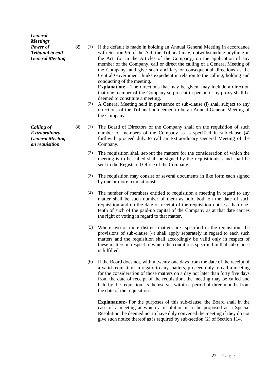| <b>General</b>          |  |
|-------------------------|--|
| <b>Meetings</b>         |  |
| Power of                |  |
| <b>Tribunal to call</b> |  |
| <b>General Meeting</b>  |  |

85 (1) If the default is made in holding an Annual General Meeting in accordance with Section 96 of the Act, the Tribunal may, notwithstanding anything in the Act, (or in the Articles of the Company) on the application of any member of the Company, call or direct the calling of a General Meeting of the Company, and give such ancillary or consequential directions as the Central Government thinks expedient in relation to the calling, holding and conducting of the meeting.

**Explanation**: - The directions that may be given, may include a direction that one member of the Company so present in person or by proxy shall be deemed to constitute a meeting.

- (2) A General Meeting held in pursuance of sub-clause (i) shall subject to any directions of the Tribunal be deemed to be an Annual General Meeting of the Company.
- 86 (1) The Board of Directors of the Company shall on the requisition of such number of members of the Company as is specified in sub-clause (4) forthwith proceed duly to call an Extraordinary General Meeting of the Company.
	- (2) The requisition shall set-out the matters for the consideration of which the meeting is to be called shall be signed by the requisitionists and shall be sent to the Registered Office of the Company.
	- (3) The requisition may consist of several documents in like form each signed by one or more requisitionists.
	- (4) The number of members entitled to requisition a meeting in regard to any matter shall be such number of them as hold both on the date of such requisition and on the date of receipt of the requisition not less than onetenth of such of the paid-up capital of the Company as at that date carries the right of voting in regard to that matter.
	- (5) Where two or more distinct matters are specified in the requisition, the provisions of sub-clause (4) shall apply separately in regard to each such matters and the requisition shall accordingly be valid only in respect of these matters in respect to which the conditions specified in that sub-clause is fulfilled.
	- (6) If the Board does not, within twenty one days from the date of the receipt of a valid requisition in regard to any matters, proceed duly to call a meeting for the consideration of those matters on a day not later than forty five days from the date of receipt of the requisition, the meeting may be called and held by the requistionists themselves within a period of three months from the date of the requisition.

**Explanation**:- For the purposes of this sub-clause, the Board shall in the case of a meeting at which a resolution is to be proposed as a Special Resolution, be deemed not to have duly convened the meeting if they do not give such notice thereof as is required by sub-section (2) of Section 114.

*Calling of Extraordinary General Meeting on requisition*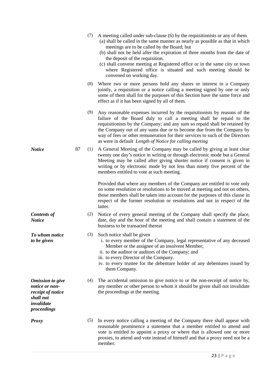|                                                                                                          |    | (7) | A meeting called under sub-clause (6) by the requisitionists or any of them<br>(a) shall be called in the same manner as nearly as possible as that in which<br>meetings are to be called by the Board; but<br>(b) shall not be held after the expiration of three months from the date of<br>the deposit of the requisition.<br>(c) shall convene meeting at Registered office or in the same city or town<br>where Registered office is situated and such meeting should be<br>convened on working day. |
|----------------------------------------------------------------------------------------------------------|----|-----|-----------------------------------------------------------------------------------------------------------------------------------------------------------------------------------------------------------------------------------------------------------------------------------------------------------------------------------------------------------------------------------------------------------------------------------------------------------------------------------------------------------|
|                                                                                                          |    | (8) | Where two or more persons hold any shares or interest in a Company<br>jointly, a requisition or a notice calling a meeting signed by one or only<br>some of them shall for the purposes of this Section have the same force and<br>effect as if it has been signed by all of them.                                                                                                                                                                                                                        |
|                                                                                                          |    | (9) | Any reasonable expenses incurred by the requisitionists by reasons of the<br>failure of the Board duly to call a meeting shall be repaid to the<br>requisitionists by the Company; and any sum so repaid shall be retained by<br>the Company out of any sums due or to become due from the Company by<br>way of fees or other remuneration for their services to such of the Directors<br>as were in default Length of Notice for calling meeting                                                         |
| <b>Notice</b>                                                                                            | 87 | (1) | A General Meeting of the Company may be called by giving at least clear<br>twenty one day's notice in writing or through electronic mode but a General<br>Meeting may be called after giving shorter notice if consent is given in<br>writing or by electronic mode by not less than ninety five percent of the<br>members entitled to vote at such meeting.                                                                                                                                              |
|                                                                                                          |    |     | Provided that where any members of the Company are entitled to vote only<br>on some resolution or resolutions to be moved at meeting and not on others,<br>those members shall be taken into account for the purposes of this clause in<br>respect of the former resolution or resolutions and not in respect of the<br>latter.                                                                                                                                                                           |
| <b>Contents of</b><br><b>Notice</b>                                                                      |    | (2) | Notice of every general meeting of the Company shall specify the place,<br>date, day and the hour of the meeting and shall contain a statement of the<br>business to be transacted thereat                                                                                                                                                                                                                                                                                                                |
| <b>To whom notice</b><br>to be given                                                                     |    |     | (3) Such notice shall be given<br>i. to every member of the Company, legal representative of any deceased<br>Member or the assignee of an insolvent Member;<br>ii. to the auditor or auditors of the Company; and<br>iii. to every Director of the Company.                                                                                                                                                                                                                                               |
|                                                                                                          |    |     | iv. to every trustee for the debenture holder of any debentures issued by<br>them Company.                                                                                                                                                                                                                                                                                                                                                                                                                |
| <b>Omission to give</b><br>notice or non-<br>receipt of notice<br>shall not<br>invalidate<br>proceedings |    | (4) | The accidental omission to give notice to or the non-receipt of notice by,<br>any member or other person to whom it should be given shall not invalidate<br>the proceedings at the meeting.                                                                                                                                                                                                                                                                                                               |
| <b>Proxy</b>                                                                                             |    | (5) | In every notice calling a meeting of the Company there shall appear with<br>reasonable prominence a statement that a member entitled to attend and<br>vote is entitled to appoint a proxy or where that is allowed one or more<br>proxies, to attend and vote instead of himself and that a proxy need not be a<br>member.                                                                                                                                                                                |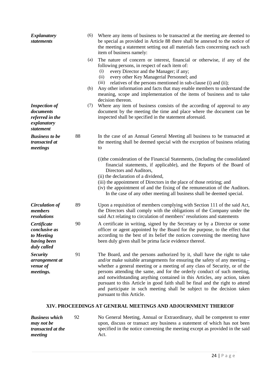| <b>Explanatory</b><br><b>statements</b>                                          |    | (6) | Where any items of business to be transacted at the meeting are deemed to<br>be special as provided in Article 88 there shall be annexed to the notice of<br>the meeting a statement setting out all materials facts concerning each such<br>item of business namely:                                                                                                                                                                                                                                                                                                                   |
|----------------------------------------------------------------------------------|----|-----|-----------------------------------------------------------------------------------------------------------------------------------------------------------------------------------------------------------------------------------------------------------------------------------------------------------------------------------------------------------------------------------------------------------------------------------------------------------------------------------------------------------------------------------------------------------------------------------------|
|                                                                                  |    | (a) | The nature of concern or interest, financial or otherwise, if any of the<br>following persons, in respect of each item of:<br>every Director and the Manager; if any;<br>(i)<br>every other Key Managerial Personnel; and<br>(ii)<br>relatives of the persons mentioned in sub-clause (i) and (ii);<br>(iii)                                                                                                                                                                                                                                                                            |
|                                                                                  |    | (b) | Any other information and facts that may enable members to understand the<br>meaning, scope and implementation of the items of business and to take<br>decision thereon.                                                                                                                                                                                                                                                                                                                                                                                                                |
| <b>Inspection of</b><br>documents<br>referred in the<br>explanatory<br>statement |    | (7) | Where any item of business consists of the according of approval to any<br>document by the meeting the time and place where the document can be<br>inspected shall be specified in the statement aforesaid.                                                                                                                                                                                                                                                                                                                                                                             |
| <b>Business to be</b><br>transacted at<br>meetings                               | 88 |     | In the case of an Annual General Meeting all business to be transacted at<br>the meeting shall be deemed special with the exception of business relating<br>to                                                                                                                                                                                                                                                                                                                                                                                                                          |
|                                                                                  |    |     | (i) the consideration of the Financial Statements, (including the consolidated<br>financial statements, if applicable), and the Reports of the Board of<br>Directors and Auditors,<br>(ii) the declaration of a dividend,<br>(iii) the appointment of Directors in the place of those retiring; and<br>(iv) the appointment of and the fixing of the remuneration of the Auditors.<br>In the case of any other meeting all business shall be deemed special.                                                                                                                            |
| <b>Circulation of</b><br>members<br>resolutions                                  | 89 |     | Upon a requisition of members complying with Section 111 of the said Act,<br>the Directors shall comply with the obligations of the Company under the<br>said Act relating to circulation of members' resolutions and statements                                                                                                                                                                                                                                                                                                                                                        |
| Certificate<br>conclusive as<br>to Meeting<br>having been<br>duly called         | 90 |     | A certificate in writing, signed by the Secretary or by a Director or some<br>officer or agent appointed by the Board for the purpose, to the effect that<br>according to the best of its belief the notices convening the meeting have<br>been duly given shall be prima facie evidence thereof.                                                                                                                                                                                                                                                                                       |
| <b>Security</b><br>arrangement at<br>venue of<br>meetings.                       | 91 |     | The Board, and the persons authorized by it, shall have the right to take<br>and/or make suitable arrangements for ensuring the safety of any meeting -<br>whether a general meeting or a meeting of any class of Security, or of the<br>persons attending the same, and for the orderly conduct of such meeting,<br>and notwithstanding anything contained in this Articles, any action, taken<br>pursuant to this Article in good faith shall be final and the right to attend<br>and participate in such meeting shall be subject to the decision taken<br>pursuant to this Article. |
|                                                                                  |    |     | XIV. PROCEEDINGS AT GENERAL MEETINGS AND ADJOURNMENT THEREOF                                                                                                                                                                                                                                                                                                                                                                                                                                                                                                                            |

| <b>Business which</b>    | 92 | No General Meeting, Annual or Extraordinary, shall be competent to enter     |
|--------------------------|----|------------------------------------------------------------------------------|
| may not be               |    | upon, discuss or transact any business a statement of which has not been     |
| <i>transacted at the</i> |    | specified in the notice convening the meeting except as provided in the said |
| meeting                  |    | Act.                                                                         |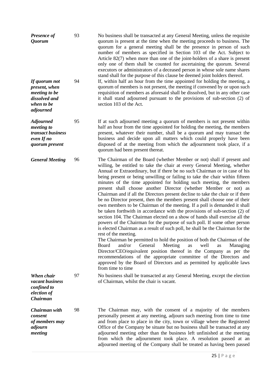| <b>Presence of</b><br><i>Quorum</i>                                                         | 93 | No business shall be transacted at any General Meeting, unless the requisite<br>quorum is present at the time when the meeting proceeds to business. The<br>quorum for a general meeting shall be the presence in person of such<br>number of members as specified in Section 103 of the Act. Subject to<br>Article $82(7)$ when more than one of the joint-holders of a share is present<br>only one of them shall be counted for ascertaining the quorum. Several<br>executors or administrators of a deceased person in whose sole name shares<br>stand shall for the purpose of this clause be deemed joint holders thereof.                                                                                                                                                                                                                                                                                                                                                                                                                                                                                                                                                                                                                                                                                                                                                                                                                                |
|---------------------------------------------------------------------------------------------|----|-----------------------------------------------------------------------------------------------------------------------------------------------------------------------------------------------------------------------------------------------------------------------------------------------------------------------------------------------------------------------------------------------------------------------------------------------------------------------------------------------------------------------------------------------------------------------------------------------------------------------------------------------------------------------------------------------------------------------------------------------------------------------------------------------------------------------------------------------------------------------------------------------------------------------------------------------------------------------------------------------------------------------------------------------------------------------------------------------------------------------------------------------------------------------------------------------------------------------------------------------------------------------------------------------------------------------------------------------------------------------------------------------------------------------------------------------------------------|
| If quorum not<br>present, when<br>meeting to be<br>dissolved and<br>when to be<br>adjourned | 94 | If, within half an hour from the time appointed for holding the meeting, a<br>quorum of members is not present, the meeting if convened by or upon such<br>requisition of members as aforesaid shall be dissolved, but in any other case<br>it shall stand adjourned pursuant to the provisions of sub-section (2) of<br>section 103 of the Act.                                                                                                                                                                                                                                                                                                                                                                                                                                                                                                                                                                                                                                                                                                                                                                                                                                                                                                                                                                                                                                                                                                                |
| <b>Adjourned</b><br>meeting to<br>transact business<br>even If no<br>quorum present         | 95 | If at such adjourned meeting a quorum of members is not present within<br>half an hour from the time appointed for holding the meeting, the members<br>present, whatever their number, shall be a quorum and may transact the<br>business and decide upon all matters which could properly have been<br>disposed of at the meeting from which the adjournment took place, if a<br>quorum had been present thereat.                                                                                                                                                                                                                                                                                                                                                                                                                                                                                                                                                                                                                                                                                                                                                                                                                                                                                                                                                                                                                                              |
| <b>General Meeting</b>                                                                      | 96 | The Chairman of the Board (whether Member or not) shall if present and<br>willing, be entitled to take the chair at every General Meeting, whether<br>Annual or Extraordinary, but if there be no such Chairman or in case of his<br>being present or being unwilling or failing to take the chair within fifteen<br>minutes of the time appointed for holding such meeting, the members<br>present shall choose another Director (whether Member or not) as<br>Chairman and if all the Directors present decline to take the chair or if there<br>be no Director present, then the members present shall choose one of their<br>own members to be Chairman of the meeting. If a poll is demanded it shall<br>be taken forthwith in accordance with the provisions of sub-section (2) of<br>section 104. The Chairman elected on a show of hands shall exercise all the<br>powers of the Chairman for the purpose of such poll. If some other person<br>is elected Chairman as a result of such poll, he shall be the Chairman for the<br>rest of the meeting.<br>The Chairman be permitted to hold the position of both the Chairman of the<br>and/or<br>Meeting<br>Board<br>General<br>well<br>as<br>Managing<br>as<br>Director/CEO/equivalent position thereof in the Company as per the<br>recommendations of the appropriate committee of the Directors and<br>approved by the Board of Directors and as permitted by applicable laws<br>from time to time |
| When chair<br>vacant business<br>confined to<br>election of<br>Chairman                     | 97 | No business shall be transacted at any General Meeting, except the election<br>of Chairman, whilst the chair is vacant.                                                                                                                                                                                                                                                                                                                                                                                                                                                                                                                                                                                                                                                                                                                                                                                                                                                                                                                                                                                                                                                                                                                                                                                                                                                                                                                                         |
| Chairman with<br>consent<br>of members may<br>adjourn<br>meeting                            | 98 | The Chairman may, with the consent of a majority of the members<br>personally present at any meeting, adjourn such meeting from time to time<br>and from place to place in the city, town or village where the Registered<br>Office of the Company be situate but no business shall be transacted at any<br>adjourned meeting other than the business left unfinished at the meeting<br>from which the adjournment took place. A resolution passed at an<br>adjourned meeting of the Company shall be treated as having been passed                                                                                                                                                                                                                                                                                                                                                                                                                                                                                                                                                                                                                                                                                                                                                                                                                                                                                                                             |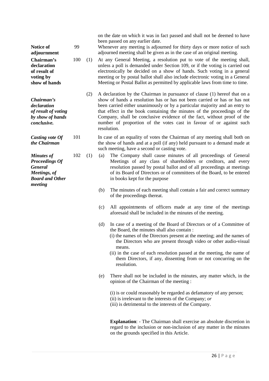on the date on which it was in fact passed and shall not be deemed to have been passed on any earlier date.

99 Whenever any meeting is adjourned for thirty days or more notice of such adjourned meeting shall be given as in the case of an original meeting.

100 (1) At any General Meeting, a resolution put to vote of the meeting shall, unless a poll is demanded under Section 109, or if the voting is carried out electronically be decided on a show of hands. Such voting in a general meeting or by postal ballot shall also include electronic voting in a General Meeting or Postal Ballot as permitted by applicable laws from time to time.

(2) A declaration by the Chairman in pursuance of clause (1) hereof that on a show of hands a resolution has or has not been carried or has or has not been carried either unanimously or by a particular majority and an entry to that effect in the book containing the minutes of the proceedings of the Company, shall be conclusive evidence of the fact, without proof of the number of proportion of the votes cast in favour of or against such resolution.

101 In case of an equality of votes the Chairman of any meeting shall both on the show of hands and at a poll (if any) held pursuant to a demand made at such meeting, have a second or casting vote.

102 (1) (a) The Company shall cause minutes of all proceedings of General Meetings of any class of shareholders or creditors, and every resolution passed by postal ballot and of all proceedings at meetings of its Board of Directors or of committees of the Board, to be entered in books kept for the purpose

- (b) The minutes of each meeting shall contain a fair and correct summary of the proceedings thereat.
- (c) All appointments of officers made at any time of the meetings aforesaid shall be included in the minutes of the meeting.
- (d) In case of a meeting of the Board of Directors or of a Committee of the Board, the minutes shall also contain :
	- (i) the names of the Directors present at the meeting; and the names of the Directors who are present through video or other audio-visual means.
	- (ii) in the case of each resolution passed at the meeting, the name of them Directors, if any, dissenting from or not concurring on the resolution.
- (e) There shall not be included in the minutes, any matter which, in the opinion of the Chairman of the meeting :

(i) is or could reasonably be regarded as defamatory of any person; (ii) is irrelevant to the interests of the Company; *or* (iii) is detrimental to the interests of the Company.

**Explanation**: - The Chairman shall exercise an absolute discretion in regard to the inclusion or non-inclusion of any matter in the minutes on the grounds specified in this Article.

**adjournment Chairman's declaration of result of voting by show of hands** *Chairman's declaration of result of voting by show of hands conclusive. Casting vote Of the Chairman Minutes of Proceedings Of General Meetings, of Board and Other* 

**Notice of** 

*meeting*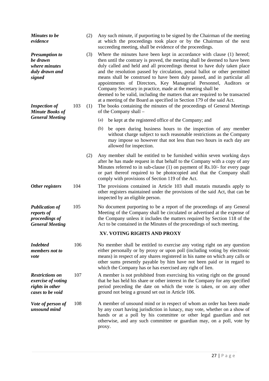| <b>Minutes to be</b><br>evidence                                                    |     | (2) | Any such minute, if purporting to be signed by the Chairman of the meeting<br>at which the proceedings took place or by the Chairman of the next<br>succeeding meeting, shall be evidence of the proceedings.                                                                                                                                                                                                                                                                                                                                                                                                                                                                             |
|-------------------------------------------------------------------------------------|-----|-----|-------------------------------------------------------------------------------------------------------------------------------------------------------------------------------------------------------------------------------------------------------------------------------------------------------------------------------------------------------------------------------------------------------------------------------------------------------------------------------------------------------------------------------------------------------------------------------------------------------------------------------------------------------------------------------------------|
| <b>Presumption to</b><br>be drawn<br>where minutes<br>duly drawn and<br>signed      |     | (3) | Where the minutes have been kept in accordance with clause (1) hereof;<br>then until the contrary is proved, the meeting shall be deemed to have been<br>duly called and held and all proceedings thereat to have duly taken place<br>and the resolution passed by circulation, postal ballot or other permitted<br>means shall be construed to have been duly passed, and in particular all<br>appointments of Directors, Key Managerial Personnel, Auditors or<br>Company Secretary in practice, made at the meeting shall be<br>deemed to be valid, including the matters that are required to be transacted<br>at a meeting of the Board as specified in Section 179 of the said Act. |
| <b>Inspection of</b><br><b>Minute Books of</b><br><b>General Meeting</b>            | 103 | (1) | The books containing the minutes of the proceedings of General Meetings<br>of the Company shall –                                                                                                                                                                                                                                                                                                                                                                                                                                                                                                                                                                                         |
|                                                                                     |     |     | (a)<br>be kept at the registered office of the Company; and                                                                                                                                                                                                                                                                                                                                                                                                                                                                                                                                                                                                                               |
|                                                                                     |     |     | be open during business hours to the inspection of any member<br>(b)<br>without charge subject to such reasonable restrictions as the Company<br>may impose so however that not less than two hours in each day are<br>allowed for inspection.                                                                                                                                                                                                                                                                                                                                                                                                                                            |
|                                                                                     |     | (2) | Any member shall be entitled to be furnished within seven working days<br>after he has made request in that behalf to the Company with a copy of any<br>Minutes referred to in sub-clause (1) on payment of Rs.10/- for every page<br>or part thereof required to be photocopied and that the Company shall<br>comply with provisions of Section 119 of the Act.                                                                                                                                                                                                                                                                                                                          |
| Other registers                                                                     | 104 |     | The provisions contained in Article 103 shall mutatis mutandis apply to<br>other registers maintained under the provisions of the said Act, that can be<br>inspected by an eligible person.                                                                                                                                                                                                                                                                                                                                                                                                                                                                                               |
| <b>Publication of</b><br>reports of<br>proceedings of<br><b>General Meeting</b>     | 105 |     | No document purporting to be a report of the proceedings of any General<br>Meeting of the Company shall be circulated or advertised at the expense of<br>the Company unless it includes the matters required by Section 118 of the<br>Act to be contained in the Minutes of the proceedings of such meeting.                                                                                                                                                                                                                                                                                                                                                                              |
|                                                                                     |     |     | XV. VOTING RIGHTS AND PROXY                                                                                                                                                                                                                                                                                                                                                                                                                                                                                                                                                                                                                                                               |
| <b>Indebted</b><br>members not to<br>vote                                           | 106 |     | No member shall be entitled to exercise any voting right on any question<br>either personally or by proxy or upon poll (including voting by electronic<br>means) in respect of any shares registered in his name on which any calls or<br>other sums presently payable by him have not been paid or in regard to<br>which the Company has or has exercised any right of lien.                                                                                                                                                                                                                                                                                                             |
| <b>Restrictions on</b><br>exercise of voting<br>rights in other<br>cases to be void | 107 |     | A member is not prohibited from exercising his voting right on the ground<br>that he has held his share or other interest in the Company for any specified<br>period preceding the date on which the vote is taken, or on any other<br>ground not being a ground set out in Article 106.                                                                                                                                                                                                                                                                                                                                                                                                  |
| Vote of person of<br>unsound mind                                                   | 108 |     | A member of unsound mind or in respect of whom an order has been made<br>by any court having jurisdiction in lunacy, may vote, whether on a show of<br>hands or at a poll by his committee or other legal guardian and not<br>otherwise, and any such committee or guardian may, on a poll, vote by<br>proxy.                                                                                                                                                                                                                                                                                                                                                                             |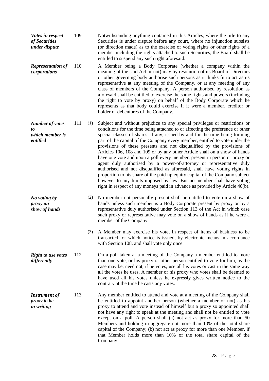- *Votes in respect of Securities under dispute* 109 Notwithstanding anything contained in this Articles, where the title to any Securities is under dispute before any court, where no injunction subsists (or direction made) as to the exercise of voting rights or other rights of a member including the rights attached to such Securities, the Board shall be entitled to suspend any such right aforesaid.
- *Representation of corporations* 110 A Member being a Body Corporate (whether a company within the meaning of the said Act or not) may by resolution of its Board of Directors or other governing body authorise such persons as it thinks fit to act as its representative at any meeting of the Company, or at any meeting of any class of members of the Company. A person authorised by resolution as aforesaid shall be entitled to exercise the same rights and powers (including the right to vote by proxy) on behalf of the Body Corporate which he represents as that body could exercise if it were a member, creditor or holder of debentures of the Company.
- *Number of votes to which member is entitled* 111 (1) Subject and without prejudice to any special privileges or restrictions or conditions for the time being attached to or affecting the preference or other special classes of shares, if any, issued by and for the time being forming part of the capital of the Company every member, entitled to vote under the provisions of these presents and not disqualified by the provisions of Articles 106, 108 and 109 or by any other Article shall on a show of hands have one vote and upon a poll every member, present in person or proxy or agent duly authorised by a power-of-attorney or representative duly authorised and not disqualified as aforesaid, shall have voting rights in proportion to his share of the paid-up equity capital of the Company subject however to any limits imposed by law. But no member shall have voting right in respect of any moneys paid in advance as provided by Article 40(b).

*No voting by proxy on show of hands*

- (2) No member not personally present shall be entitled to vote on a show of hands unless such member is a Body Corporate present by proxy or by a representative duly authorised under Section 113 of the Act in which case such proxy or representative may vote on a show of hands as if he were a member of the Company.
	- (3) A Member may exercise his vote, in respect of items of business to be transacted for which notice is issued, by electronic means in accordance with Section 108, and shall vote only once.
- *Right to use votes differently* 112 On a poll taken at a meeting of the Company a member entitled to more than one vote, or his proxy or other person entitled to vote for him, as the case may be, need not, if he votes, use all his votes or cast in the same way all the votes he uses. A member or his proxy who votes shall be deemed to have used all his votes unless he expressly gives written notice to the contrary at the time he casts any votes.
- *Instrument of proxy to be in writing* 113 Any member entitled to attend and vote at a meeting of the Company shall be entitled to appoint another person (whether a member or not) as his proxy to attend and vote instead of himself but a proxy so appointed shall not have any right to speak at the meeting and shall not be entitled to vote except on a poll. A person shall (a) not act as proxy for more than 50 Members and holding in aggregate not more than 10% of the total share capital of the Company; (b) not act as proxy for more than one Member, if that Member holds more than 10% of the total share capital of the Company.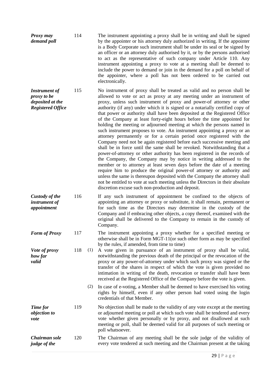| <b>Proxy may</b> | 114 | The instrument appointing a proxy shall be in writing and shall be signed             |
|------------------|-----|---------------------------------------------------------------------------------------|
| demand poll      |     | by the appointer or his attorney duly authorized in writing. If the appointer         |
|                  |     | is a Body Corporate such instrument shall be under its seal or be signed by           |
|                  |     | an officer or an attorney duly authorised by it, or by the persons authorised         |
|                  |     | to act as the representative of such company under Article 110. Any                   |
|                  |     | instrument appointing a proxy to vote at a meeting shall be deemed to                 |
|                  |     | include the power to demand or join in the demand for a poll on behalf of             |
|                  |     | the appointer, where a poll has not been ordered to be carried out<br>electronically. |

*Instrument of proxy to be deposited at the Registered Office* 115 No instrument of proxy shall be treated as valid and no person shall be allowed to vote or act as proxy at any meeting under an instrument of proxy, unless such instrument of proxy and power-of attorney or other authority (if any) under which it is signed or a notarially certified copy of that power or authority shall have been deposited at the Registered Office of the Company at least forty-eight hours before the time appointed for holding the meeting or adjourned meeting at which the persons named in such instrument proposes to vote. An instrument appointing a proxy or an attorney permanently or for a certain period once registered with the Company need not be again registered before each successive meeting and shall be in force until the same shall be revoked. Notwithstanding that a power-of-attorney or other authority has been registered in the records of the Company, the Company may by notice in writing addressed to the member or to attorney at least seven days before the date of a meeting require him to produce the original power-of attorney or authority and unless the same is thereupon deposited with the Company the attorney shall not be entitled to vote at such meeting unless the Directors in their absolute discretion excuse such non-production and deposit.

*Custody of the instrument of appointment* 116 If any such instrument of appointment be confined to the objects of appointing an attorney or proxy or substitute, it shall remain, permanent or for such time as the Directors may determine in the custody of the Company and if embracing other objects, a copy thereof, examined with the original shall be delivered to the Company to remain in the custody of Company.

*Form of Proxy* 117 The instrument appointing a proxy whether for a specified meeting or otherwise shall be in Form MGT-11(or such other form as may be specified by the rules, if amended, from time to time)

*Vote of proxy how far valid* 118 (1) A vote given in pursuance of an instrument of proxy shall be valid, notwithstanding the previous death of the principal or the revocation of the proxy or any power-of-attorney under which such proxy was signed or the transfer of the shares in respect of which the vote is given provided no intimation in writing of the death, revocation or transfer shall have been received at the Registered Office of the Company before the vote is given.

> (2) In case of e-voting, a Member shall be deemed to have exercised his voting rights by himself, even if any other person had voted using the login credentials of that Member.

*Time for objection to vote* 119 No objection shall be made to the validity of any vote except at the meeting or adjourned meeting or poll at which such vote shall be tendered and every vote whether given personally or by proxy, and not disallowed at such meeting or poll, shall be deemed valid for all purposes of such meeting or poll whatsoever.

*Chairman sole judge of the*  120 The Chairman of any meeting shall be the sole judge of the validity of every vote tendered at such meeting and the Chairman present at the taking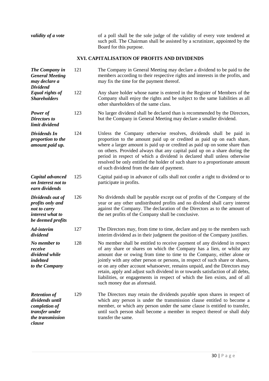*validity of a vote* of a poll shall be the sole judge of the validity of every vote tendered at such poll. The Chairman shall be assisted by a scrutinizer, appointed by the Board for this purpose.

# **XVI. CAPITALISATION OF PROFITS AND DIVIDENDS**

| The Company in<br><b>General Meeting</b><br>may declare a<br><b>Dividend</b>                            | 121 | The Company in General Meeting may declare a dividend to be paid to the<br>members according to their respective rights and interests in the profits, and<br>may fix the time for the payment thereof.                                                                                                                                                                                                                                                                                                                                                                                      |
|---------------------------------------------------------------------------------------------------------|-----|---------------------------------------------------------------------------------------------------------------------------------------------------------------------------------------------------------------------------------------------------------------------------------------------------------------------------------------------------------------------------------------------------------------------------------------------------------------------------------------------------------------------------------------------------------------------------------------------|
| Equal rights of<br><b>Shareholders</b>                                                                  | 122 | Any share holder whose name is entered in the Register of Members of the<br>Company shall enjoy the rights and be subject to the same liabilities as all<br>other shareholders of the same class.                                                                                                                                                                                                                                                                                                                                                                                           |
| Power of<br><b>Directors to</b><br>limit dividend                                                       | 123 | No larger dividend shall be declared than is recommended by the Directors,<br>but the Company in General Meeting may declare a smaller dividend.                                                                                                                                                                                                                                                                                                                                                                                                                                            |
| Dividends In<br>proportion to the<br>amount paid up.                                                    | 124 | Unless the Company otherwise resolves, dividends shall be paid in<br>proportion to the amount paid up or credited as paid up on each share,<br>where a larger amount is paid up or credited as paid up on some share than<br>on others. Provided always that any capital paid up on a share during the<br>period in respect of which a dividend is declared shall unless otherwise<br>resolved be only entitled the holder of such share to a proportionate amount<br>of such dividend from the date of payment.                                                                            |
| Capital advanced<br>on Interest not to<br>earn dividends                                                | 125 | Capital paid-up in advance of calls shall not confer a right to dividend or to<br>participate in profits.                                                                                                                                                                                                                                                                                                                                                                                                                                                                                   |
| Dividends out of<br>profits only and<br>not to carry<br>interest what to<br>be deemed profits           | 126 | No dividends shall be payable except out of profits of the Company of the<br>year or any other undistributed profits and no dividend shall carry interest<br>against the Company. The declaration of the Directors as to the amount of<br>the net profits of the Company shall be conclusive.                                                                                                                                                                                                                                                                                               |
| Ad-interim<br>dividend                                                                                  | 127 | The Directors may, from time to time, declare and pay to the members such<br>interim dividend as in their judgment the position of the Company justifies.                                                                                                                                                                                                                                                                                                                                                                                                                                   |
| No member to<br>receive<br>dividend while<br>indebted<br>to the Company                                 | 128 | No member shall be entitled to receive payment of any dividend in respect<br>of any share or shares on which the Company has a lien, or whilst any<br>amount due or owing from time to time to the Company, either alone or<br>jointly with any other person or persons, in respect of such share or shares,<br>or on any other account whatsoever, remains unpaid, and the Directors may<br>retain, apply and adjust such dividend in or towards satisfaction of all debts,<br>liabilities, or engagements in respect of which the lien exists, and of all<br>such money due as aforesaid. |
| <b>Retention of</b><br>dividends until<br>completion of<br>transfer under<br>the transmission<br>clause | 129 | The Directors may retain the dividends payable upon shares in respect of<br>which any person is under the transmission clause entitled to become a<br>member, or which any person under the same clause is entitled to transfer,<br>until such person shall become a member in respect thereof or shall duly<br>transfer the same.                                                                                                                                                                                                                                                          |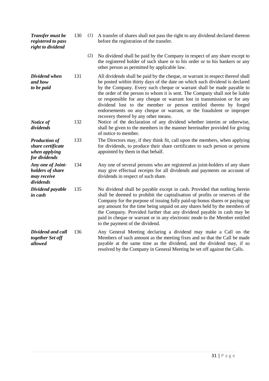| Transfer must be<br>registered to pass<br>right to dividend                 | 130 | (1) | A transfer of shares shall not pass the right to any dividend declared thereon<br>before the registration of the transfer.                                                                                                                                                                                                                                                                                                                                                                                                                                                            |
|-----------------------------------------------------------------------------|-----|-----|---------------------------------------------------------------------------------------------------------------------------------------------------------------------------------------------------------------------------------------------------------------------------------------------------------------------------------------------------------------------------------------------------------------------------------------------------------------------------------------------------------------------------------------------------------------------------------------|
|                                                                             |     | (2) | No dividend shall be paid by the Company in respect of any share except to<br>the registered holder of such share or to his order or to his bankers or any<br>other person as permitted by applicable law.                                                                                                                                                                                                                                                                                                                                                                            |
| Dividend when<br>and how<br>to be paid                                      | 131 |     | All dividends shall be paid by the cheque, or warrant in respect thereof shall<br>be posted within thirty days of the date on which such dividend is declared<br>by the Company. Every such cheque or warrant shall be made payable to<br>the order of the person to whom it is sent. The Company shall not be liable<br>or responsible for any cheque or warrant lost in transmission or for any<br>dividend lost to the member or person entitled thereto by forged<br>endorsements on any cheque or warrant, or the fraudulent or improper<br>recovery thereof by any other means. |
| Notice of<br>dividends                                                      | 132 |     | Notice of the declaration of any dividend whether interim or otherwise,<br>shall be given to the members in the manner hereinafter provided for giving<br>of notice to member.                                                                                                                                                                                                                                                                                                                                                                                                        |
| <b>Production of</b><br>share certificate<br>when applying<br>for dividends | 133 |     | The Directors may, if they think fit, call upon the members, when applying<br>for dividends, to produce their share certificates to such person or persons<br>appointed by them in that behalf.                                                                                                                                                                                                                                                                                                                                                                                       |
| Any one of Joint-<br>holders of share<br>may receive<br>dividends           | 134 |     | Any one of several persons who are registered as joint-holders of any share<br>may give effectual receipts for all dividends and payments on account of<br>dividends in respect of such share.                                                                                                                                                                                                                                                                                                                                                                                        |
| Dividend payable<br>in cash                                                 | 135 |     | No dividend shall be payable except in cash. Provided that nothing herein<br>shall be deemed to prohibit the capitalisation of profits or reserves of the<br>Company for the purpose of issuing fully paid-up bonus shares or paying up<br>any amount for the time being unpaid on any shares held by the members of<br>the Company. Provided further that any dividend payable in cash may be<br>paid in cheque or warrant or in any electronic mode to the Member entitled<br>to the payment of the dividend.                                                                       |
| Dividend and call<br>together Set off<br>allowed                            | 136 |     | Any General Meeting declaring a dividend may make a Call on the<br>Members of such amount as the meeting fixes and so that the Call be made<br>payable at the same time as the dividend, and the dividend may, if so<br>resolved by the Company in General Meeting be set off against the Calls.                                                                                                                                                                                                                                                                                      |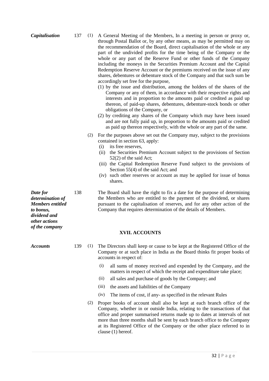- *Capitalisation* 137 (1) A General Meeting of the Members, In a meeting in person or proxy or, through Postal Ballot or, by any other means, as may be permitted may on the recommendation of the Board, direct capitalisation of the whole or any part of the undivided profits for the time being of the Company or the whole or any part of the Reserve Fund or other funds of the Company including the moneys in the Securities Premium Account and the Capital Redemption Reserve Account or the premiums received on the issue of any shares, debentures or debenture stock of the Company and that such sum be accordingly set free for the purpose,
	- (1) by the issue and distribution, among the holders of the shares of the Company or any of them, in accordance with their respective rights and interests and in proportion to the amounts paid or credited as paid up thereon, of paid-up shares, debentures, debenture-stock bonds or other obligations of the Company, or
	- (2) by crediting any shares of the Company which may have been issued and are not fully paid up, in proportion to the amounts paid or credited as paid up thereon respectively, with the whole or any part of the same.
	- (2) For the purposes above set out the Company may, subject to the provisions contained in section 63, apply:
		- (i) its free reserves,
		- (ii) the Securities Premium Account subject to the provisions of Section 52(2) of the said Act;
		- (iii) the Capital Redemption Reserve Fund subject to the provisions of Section 55(4) of the said Act; and
		- (iv) such other reserves or account as may be applied for issue of bonus shares.

138 The Board shall have the right to fix a date for the purpose of determining the Members who are entitled to the payment of the dividend, or shares pursuant to the capitalisation of reserves, and for any other action of the Company that requires determination of the details of Members.

## **XVII. ACCOUNTS**

- *Accounts* 139 (1) The Directors shall keep or cause to be kept at the Registered Office of the Company or at such place in India as the Board thinks fit proper books of accounts in respect of:
	- (i) all sums of money received and expended by the Company, and the matters in respect of which the receipt and expenditure take place;
	- (ii) all sales and purchase of goods by the Company; and
	- (iii) the assets and liabilities of the Company
	- (iv) The items of cost, if any- as specified in the relevant Rules
	- (2) Proper books of account shall also be kept at each branch office of the Company, whether in or outside India, relating to the transactions of that office and proper summarised returns made up to dates at intervals of not more than three months shall be sent by each branch office to the Company at its Registered Office of the Company or the other place referred to in clause (1) hereof.

*Date for determination of Members entitled to bonus, dividend and other actions of the company*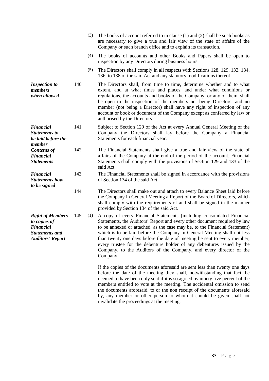|     | (3) | The books of account referred to in clause (1) and (2) shall be such books as<br>are necessary to give a true and fair view of the state of affairs of the<br>Company or such branch office and to explain its transaction.                                                                                                                                                                                                                                                                                                                           |
|-----|-----|-------------------------------------------------------------------------------------------------------------------------------------------------------------------------------------------------------------------------------------------------------------------------------------------------------------------------------------------------------------------------------------------------------------------------------------------------------------------------------------------------------------------------------------------------------|
|     | (4) | The books of accounts and other Books and Papers shall be open to<br>inspection by any Directors during business hours.                                                                                                                                                                                                                                                                                                                                                                                                                               |
|     | (5) | The Directors shall comply in all respects with Sections 128, 129, 133, 134,<br>136, to 138 of the said Act and any statutory modifications thereof.                                                                                                                                                                                                                                                                                                                                                                                                  |
| 140 |     | The Directors shall, from time to time, determine whether and to what<br>extent, and at what times and places, and under what conditions or<br>regulations, the accounts and books of the Company, or any of them, shall<br>be open to the inspection of the members not being Directors; and no<br>member (not being a Director) shall have any right of inspection of any<br>account or book or document of the Company except as conferred by law or<br>authorised by the Directors.                                                               |
| 141 |     | Subject to Section 129 of the Act at every Annual General Meeting of the<br>Company the Directors shall lay before the Company a Financial<br>Statements for each financial year.                                                                                                                                                                                                                                                                                                                                                                     |
| 142 |     | The Financial Statements shall give a true and fair view of the state of<br>affairs of the Company at the end of the period of the account. Financial<br>Statements shall comply with the provisions of Section 129 and 133 of the<br>said Act                                                                                                                                                                                                                                                                                                        |
| 143 |     | The Financial Statements shall be signed in accordance with the provisions<br>of Section 134 of the said Act.                                                                                                                                                                                                                                                                                                                                                                                                                                         |
| 144 |     | The Directors shall make out and attach to every Balance Sheet laid before<br>the Company in General Meeting a Report of the Board of Directors, which<br>shall comply with the requirements of and shall be signed in the manner<br>provided by Section 134 of the said Act.                                                                                                                                                                                                                                                                         |
| 145 | (1) | A copy of every Financial Statements (including consolidated Financial<br>Statements, the Auditors' Report and every other document required by law<br>to be annexed or attached, as the case may be, to the Financial Statement)<br>which is to be laid before the Company in General Meeting shall not less<br>than twenty one days before the date of meeting be sent to every member,<br>every trustee for the debenture holder of any debentures issued by the<br>Company, to the Auditors of the Company, and every director of the<br>Company. |
|     |     | If the copies of the documents aforesaid are sent less than twenty one days<br>before the date of the meeting they shall, notwithstanding that fact, be<br>deemed to have been duly sent if it is so agreed by ninety five percent of the<br>members entitled to vote at the meeting. The accidental omission to send<br>the documents aforesaid, to or the non receipt of the documents aforesaid<br>by, any member or other person to whom it should be given shall not<br>invalidate the proceedings at the meeting.                               |
|     |     |                                                                                                                                                                                                                                                                                                                                                                                                                                                                                                                                                       |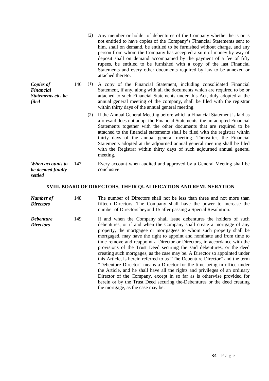|                                                              |     | (2) | Any member or holder of debentures of the Company whether he is or is<br>not entitled to have copies of the Company's Financial Statements sent to<br>him, shall on demand, be entitled to be furnished without charge, and any<br>person from whom the Company has accepted a sum of money by way of<br>deposit shall on demand accompanied by the payment of a fee of fifty<br>rupees, be entitled to be furnished with a copy of the last Financial<br>Statements and every other documents required by law to be annexed or<br>attached thereto.           |
|--------------------------------------------------------------|-----|-----|----------------------------------------------------------------------------------------------------------------------------------------------------------------------------------------------------------------------------------------------------------------------------------------------------------------------------------------------------------------------------------------------------------------------------------------------------------------------------------------------------------------------------------------------------------------|
| Copies of<br><b>Financial</b><br>Statements etc. be<br>filed | 146 | (1) | A copy of the Financial Statement, including consolidated Financial<br>Statement, if any, along with all the documents which are required to be or<br>attached to such Financial Statements under this Act, duly adopted at the<br>annual general meeting of the company, shall be filed with the registrar<br>within thirty days of the annual general meeting.                                                                                                                                                                                               |
|                                                              |     | (2) | If the Annual General Meeting before which a Financial Statement is laid as<br>aforesaid does not adopt the Financial Statements, the un-adopted Financial<br>Statements together with the other documents that are required to be<br>attached to the financial statements shall be filed with the registrar within<br>thirty days of the annual general meeting. Thereafter, the Financial<br>Statements adopted at the adjourned annual general meeting shall be filed<br>with the Registrar within thirty days of such adjourned annual general<br>meeting. |
| When accounts to<br>be deemed finally<br>settled             | 147 |     | Every account when audited and approved by a General Meeting shall be<br>conclusive                                                                                                                                                                                                                                                                                                                                                                                                                                                                            |

# **XVIII. BOARD OF DIRECTORS, THEIR QUALIFICATION AND REMUNERATION**

| Number of<br><b>Directors</b>        | 148 | The number of Directors shall not be less than three and not more than<br>fifteen Directors. The Company shall have the power to increase the<br>number of Directors beyond 15 after passing a Special Resolution.                                                                                                                                                                                                                                                                                                                                                                                                                                                                                                                                                                                                                                                                                                                                                       |
|--------------------------------------|-----|--------------------------------------------------------------------------------------------------------------------------------------------------------------------------------------------------------------------------------------------------------------------------------------------------------------------------------------------------------------------------------------------------------------------------------------------------------------------------------------------------------------------------------------------------------------------------------------------------------------------------------------------------------------------------------------------------------------------------------------------------------------------------------------------------------------------------------------------------------------------------------------------------------------------------------------------------------------------------|
| <b>Debenture</b><br><b>Directors</b> | 149 | If and when the Company shall issue debentures the holders of such<br>debentures, or if and when the Company shall create a mortgage of any<br>property, the mortgagee or mortgagees to whom such property shall be<br>mortgaged, may have the right to appoint and nominate and from time to<br>time remove and reappoint a Director or Directors, in accordance with the<br>provisions of the Trust Deed securing the said debentures, or the deed<br>creating such mortgages, as the case may be. A Director so appointed under<br>this Article, is herein referred to as "The Debenture Director" and the term<br>"Debenture Director" means a Director for the time being in office under<br>the Article, and he shall have all the rights and privileges of an ordinary<br>Director of the Company, except in so far as is otherwise provided for<br>herein or by the Trust Deed securing the-Debentures or the deed creating<br>the mortgage, as the case may be. |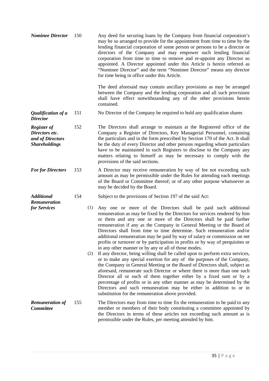| <b>Nominee Director</b>                                                          | 150 |            | Any deed for securing loans by the Company from financial corporation's<br>may be so arranged to provide for the appointment from time to time by the<br>lending financial corporation of some person or persons to be a director or<br>directors of the Company and may empower such lending financial<br>corporation from time to time to remove and re-appoint any Director so<br>appointed. A Director appointed under this Article is herein referred as<br>"Nominee Director" and the term "Nominee Director" means any director<br>for time being in office under this Article.                                                                                                                                                                                                                                                                                                                                                                                                                                                                                                                                                                                                           |
|----------------------------------------------------------------------------------|-----|------------|--------------------------------------------------------------------------------------------------------------------------------------------------------------------------------------------------------------------------------------------------------------------------------------------------------------------------------------------------------------------------------------------------------------------------------------------------------------------------------------------------------------------------------------------------------------------------------------------------------------------------------------------------------------------------------------------------------------------------------------------------------------------------------------------------------------------------------------------------------------------------------------------------------------------------------------------------------------------------------------------------------------------------------------------------------------------------------------------------------------------------------------------------------------------------------------------------|
|                                                                                  |     |            | The deed aforesaid may contain ancillary provisions as may be arranged<br>between the Company and the lending corporation and all such provisions<br>shall have effect notwithstanding any of the other provisions herein<br>contained.                                                                                                                                                                                                                                                                                                                                                                                                                                                                                                                                                                                                                                                                                                                                                                                                                                                                                                                                                          |
| Qualification of a<br><b>Director</b>                                            | 151 |            | No Director of the Company be required to hold any qualification shares                                                                                                                                                                                                                                                                                                                                                                                                                                                                                                                                                                                                                                                                                                                                                                                                                                                                                                                                                                                                                                                                                                                          |
| <b>Register of</b><br>Directors etc.<br>and of Directors<br><b>Shareholdings</b> | 152 |            | The Directors shall arrange to maintain at the Registered office of the<br>Company a Register of Directors, Key Managerial Personnel, containing<br>the particulars and in the form prescribed by Section 170 of the Act. It shall<br>be the duty of every Director and other persons regarding whom particulars<br>have to be maintained in such Registers to disclose to the Company any<br>matters relating to himself as may be necessary to comply with the<br>provisions of the said sections.                                                                                                                                                                                                                                                                                                                                                                                                                                                                                                                                                                                                                                                                                             |
| <b>Fee for Directors</b>                                                         | 153 |            | A Director may receive remuneration by way of fee not exceeding such<br>amount as may be permissible under the Rules for attending each meetings<br>of the Board or Committee thereof; or of any other purpose whatsoever as<br>may be decided by the Board.                                                                                                                                                                                                                                                                                                                                                                                                                                                                                                                                                                                                                                                                                                                                                                                                                                                                                                                                     |
| <b>Additional</b><br>Remuneration                                                | 154 |            | Subject to the provisions of Section 197 of the said Act:                                                                                                                                                                                                                                                                                                                                                                                                                                                                                                                                                                                                                                                                                                                                                                                                                                                                                                                                                                                                                                                                                                                                        |
| for Services                                                                     |     | (1)<br>(2) | Any one or more of the Directors shall be paid such additional<br>remuneration as may be fixed by the Directors for services rendered by him<br>or them and any one or more of the Directors shall be paid further<br>remuneration if any as the Company in General Meeting or the Board of<br>Directors shall from time to time determine. Such remuneration and/or<br>additional remuneration may be paid by way of salary or commission on net<br>profits or turnover or by participation in profits or by way of perquisites or<br>in any other manner or by any or all of those modes.<br>If any director, being willing shall be called upon to perform extra services,<br>or to make any special exertion for any of the purposes of the Company,<br>the Company in General Meeting or the Board of Directors shall, subject as<br>aforesaid, remunerate such Director or where there is more than one such<br>Director all or such of them together either by a fixed sum or by a<br>percentage of profits or in any other manner as may be determined by the<br>Directors and such remuneration may be either in addition to or in<br>substitution for the remuneration above provided. |
| <b>Remuneration of</b><br><b>Committee</b>                                       | 155 |            | The Directors may from time to time fix the remuneration to be paid to any<br>member or members of their body constituting a committee appointed by<br>the Directors in terms of these articles not exceeding such amount as is<br>permissible under the Rules, per meeting attended by him.                                                                                                                                                                                                                                                                                                                                                                                                                                                                                                                                                                                                                                                                                                                                                                                                                                                                                                     |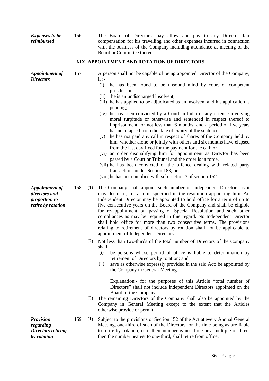| <b>Expenses to be</b><br>reimbursed                                           | 156 |            | The Board of Directors may allow and pay to any Director fair<br>compensation for his travelling and other expenses incurred in connection<br>with the business of the Company including attendance at meeting of the<br>Board or Committee thereof.                                                                                                                                                                                                                                                                                                                                                                                                                                                                                                                                                                                                                                                                                                                                                                                                                                                                                      |
|-------------------------------------------------------------------------------|-----|------------|-------------------------------------------------------------------------------------------------------------------------------------------------------------------------------------------------------------------------------------------------------------------------------------------------------------------------------------------------------------------------------------------------------------------------------------------------------------------------------------------------------------------------------------------------------------------------------------------------------------------------------------------------------------------------------------------------------------------------------------------------------------------------------------------------------------------------------------------------------------------------------------------------------------------------------------------------------------------------------------------------------------------------------------------------------------------------------------------------------------------------------------------|
|                                                                               |     |            | XIX. APPOINTMENT AND ROTATION OF DIRECTORS                                                                                                                                                                                                                                                                                                                                                                                                                                                                                                                                                                                                                                                                                                                                                                                                                                                                                                                                                                                                                                                                                                |
| <b>Appointment of</b><br><b>Directors</b>                                     | 157 |            | A person shall not be capable of being appointed Director of the Company,<br>$if$ :<br>(i)<br>he has been found to be unsound mind by court of competent<br>jurisdiction.<br>he is an undischarged insolvent;<br>(ii)<br>(iii) he has applied to be adjudicated as an insolvent and his application is<br>pending;<br>(iv) he has been convicted by a Court in India of any offence involving<br>moral turpitude or otherwise and sentenced in respect thereof to<br>imprisonment for not less than 6 months, and a period of five years<br>has not elapsed from the date of expiry of the sentence;<br>(v) he has not paid any call in respect of shares of the Company held by<br>him, whether alone or jointly with others and six months have elapsed<br>from the last day fixed for the payment for the call; or<br>(vi) an order disqualifying him for appointment as Director has been<br>passed by a Court or Tribunal and the order is in force,<br>(vii) he has been convicted of the offence dealing with related party<br>transactions under Section 188; or.<br>(viii)he has not complied with sub-section 3 of section 152. |
| <b>Appointment of</b><br>directors and<br>proportion to<br>retire by rotation | 158 | (1)        | The Company shall appoint such number of Independent Directors as it<br>may deem fit, for a term specified in the resolution appointing him. An<br>Independent Director may be appointed to hold office for a term of up to<br>five consecutive years on the Board of the Company and shall be eligible<br>for re-appointment on passing of Special Resolution and such other<br>compliances as may be required in this regard. No Independent Director<br>shall hold office for more than two consecutive terms. The provisions<br>relating to retirement of directors by rotation shall not be applicable to<br>appointment of Independent Directors.                                                                                                                                                                                                                                                                                                                                                                                                                                                                                   |
|                                                                               |     | (2)<br>(3) | Not less than two-thirds of the total number of Directors of the Company<br>shall<br>(i)<br>be persons whose period of office is liable to determination by<br>retirement of Directors by rotation; and<br>save as otherwise expressly provided in the said Act; be appointed by<br>(ii)<br>the Company in General Meeting.<br>Explanation:- for the purposes of this Article "total number of<br>Directors" shall not include Independent Directors appointed on the<br>Board of the Company.<br>The remaining Directors of the Company shall also be appointed by the                                                                                                                                                                                                                                                                                                                                                                                                                                                                                                                                                                   |
|                                                                               |     |            | Company in General Meeting except to the extent that the Articles<br>otherwise provide or permit.                                                                                                                                                                                                                                                                                                                                                                                                                                                                                                                                                                                                                                                                                                                                                                                                                                                                                                                                                                                                                                         |
| <b>Provision</b><br>regarding<br><b>Directors retiring</b><br>by rotation     | 159 | (1)        | Subject to the provisions of Section 152 of the Act at every Annual General<br>Meeting, one-third of such of the Directors for the time being as are liable<br>to retire by rotation, or if their number is not three or a multiple of three,<br>then the number nearest to one-third, shall retire from office.                                                                                                                                                                                                                                                                                                                                                                                                                                                                                                                                                                                                                                                                                                                                                                                                                          |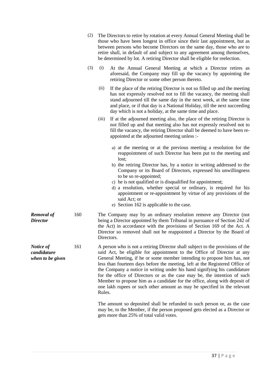| (2) | The Directors to retire by rotation at every Annual General Meeting shall be<br>those who have been longest in office since their last appointment, but as<br>between persons who become Directors on the same day, those who are to<br>retire shall, in default of and subject to any agreement among themselves,<br>be determined by lot. A retiring Director shall be eligible for reelection.                                                                                                                                                                                                                                                                                                                                                                                                                                                       |
|-----|---------------------------------------------------------------------------------------------------------------------------------------------------------------------------------------------------------------------------------------------------------------------------------------------------------------------------------------------------------------------------------------------------------------------------------------------------------------------------------------------------------------------------------------------------------------------------------------------------------------------------------------------------------------------------------------------------------------------------------------------------------------------------------------------------------------------------------------------------------|
| (3) | At the Annual General Meeting at which a Director retires as<br>(i)<br>aforesaid, the Company may fill up the vacancy by appointing the<br>retiring Director or some other person thereto.                                                                                                                                                                                                                                                                                                                                                                                                                                                                                                                                                                                                                                                              |
|     | (ii)<br>If the place of the retiring Director is not so filled up and the meeting<br>has not expressly resolved not to fill the vacancy, the meeting shall<br>stand adjourned till the same day in the next week, at the same time<br>and place, or if that day is a National Holiday, till the next succeeding<br>day which is not a holiday, at the same time and place.                                                                                                                                                                                                                                                                                                                                                                                                                                                                              |
|     | (iii)<br>If at the adjourned meeting also, the place of the retiring Director is<br>not filled up and that meeting also has not expressly resolved not to<br>fill the vacancy, the retiring Director shall be deemed to have been re-<br>appointed at the adjourned meeting unless :-                                                                                                                                                                                                                                                                                                                                                                                                                                                                                                                                                                   |
|     | a) at the meeting or at the previous meeting a resolution for the<br>reappointment of such Director has been put to the meeting and<br>lost;<br>b) the retiring Director has, by a notice in writing addressed to the<br>Company or its Board of Directors, expressed his unwillingness<br>to be so re-appointed;<br>c) he is not qualified or is disqualified for appointment;<br>d) a resolution, whether special or ordinary, is required for his<br>appointment or re-appointment by virtue of any provisions of the<br>said Act; or<br>e) Section 162 is applicable to the case.                                                                                                                                                                                                                                                                   |
|     | The Company may by an ordinary resolution remove any Director (not<br>being a Director appointed by them Tribunal in pursuance of Section 242 of<br>the Act) in accordance with the provisions of Section 169 of the Act. A<br>Director so removed shall not be reappointed a Director by the Board of<br>Directors.                                                                                                                                                                                                                                                                                                                                                                                                                                                                                                                                    |
|     | A person who is not a retiring Director shall subject to the provisions of the<br>said Act, be eligible for appointment to the Office of Director at any<br>General Meeting, if he or some member intending to propose him has, not<br>less than fourteen days before the meeting, left at the Registered Office of<br>the Company a notice in writing under his hand signifying his candidature<br>for the office of Directors or as the case may be, the intention of such<br>Member to propose him as a candidate for the office, along with deposit of<br>one lakh rupees or such other amount as may be specified in the relevant<br>Rules.<br>The amount so deposited shall be refunded to such person or, as the case<br>may be, to the Member, if the person proposed gets elected as a Director or<br>gets more than 25% of total valid votes. |
|     |                                                                                                                                                                                                                                                                                                                                                                                                                                                                                                                                                                                                                                                                                                                                                                                                                                                         |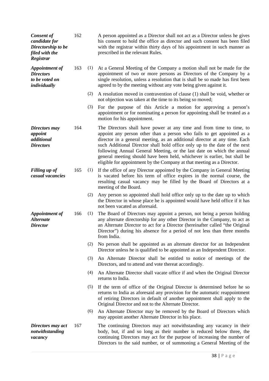| <b>Consent of</b><br>candidate for<br>Directorship to be<br>filed with the<br>Registrar | 162 |     | A person appointed as a Director shall not act as a Director unless he gives<br>his consent to hold the office as director and such consent has been filed<br>with the registrar within thirty days of his appointment in such manner as<br>prescribed in the relevant Rules.                                                                                                                                                                                                                                                               |
|-----------------------------------------------------------------------------------------|-----|-----|---------------------------------------------------------------------------------------------------------------------------------------------------------------------------------------------------------------------------------------------------------------------------------------------------------------------------------------------------------------------------------------------------------------------------------------------------------------------------------------------------------------------------------------------|
| Appointment of<br><b>Directors</b><br>to be voted on<br>individually                    | 163 | (1) | At a General Meeting of the Company a motion shall not be made for the<br>appointment of two or more persons as Directors of the Company by a<br>single resolution, unless a resolution that is shall be so made has first been<br>agreed to by the meeting without any vote being given against it.                                                                                                                                                                                                                                        |
|                                                                                         |     | (2) | A resolution moved in contravention of clause (1) shall be void, whether or<br>not objection was taken at the time to its being so moved;                                                                                                                                                                                                                                                                                                                                                                                                   |
|                                                                                         |     | (3) | For the purpose of this Article a motion for approving a person's<br>appointment or for nominating a person for appointing shall be treated as a<br>motion for his appointment.                                                                                                                                                                                                                                                                                                                                                             |
| Directors may<br>appoint<br>additional<br><b>Directors</b>                              | 164 |     | The Directors shall have power at any time and from time to time, to<br>appoint any person other than a person who fails to get appointed as a<br>director in a general meeting, as an additional director at any time. Each<br>such Additional Director shall hold office only up to the date of the next<br>following Annual General Meeting, or the last date on which the annual<br>general meeting should have been held, whichever is earlier, but shall be<br>eligible for appointment by the Company at that meeting as a Director. |
| <b>Filling up of</b><br>casual vacancies                                                | 165 | (1) | If the office of any Director appointed by the Company in General Meeting<br>is vacated before his term of office expires in the normal course, the<br>resulting casual vacancy may be filled by the Board of Directors at a<br>meeting of the Board.                                                                                                                                                                                                                                                                                       |
|                                                                                         |     | (2) | Any person so appointed shall hold office only up to the date up to which<br>the Director in whose place he is appointed would have held office if it has<br>not been vacated as aforesaid.                                                                                                                                                                                                                                                                                                                                                 |
| Appointment of<br><b>Alternate</b><br><b>Director</b>                                   | 166 | (1) | The Board of Directors may appoint a person, not being a person holding<br>any alternate directorship for any other Director in the Company, to act as<br>an Alternate Director to act for a Director (hereinafter called "the Original<br>Director") during his absence for a period of not less than three months<br>from India.                                                                                                                                                                                                          |
|                                                                                         |     | (2) | No person shall be appointed as an alternate director for an Independent<br>Director unless he is qualified to be appointed as an Independent Director.                                                                                                                                                                                                                                                                                                                                                                                     |
|                                                                                         |     | (3) | An Alternate Director shall be entitled to notice of meetings of the<br>Directors, and to attend and vote thereat accordingly.                                                                                                                                                                                                                                                                                                                                                                                                              |
|                                                                                         |     | (4) | An Alternate Director shall vacate office if and when the Original Director<br>returns to India.                                                                                                                                                                                                                                                                                                                                                                                                                                            |
|                                                                                         |     | (5) | If the term of office of the Original Director is determined before he so<br>returns to India as aforesaid any provision for the automatic reappointment<br>of retiring Directors in default of another appointment shall apply to the<br>Original Director and not to the Alternate Director.                                                                                                                                                                                                                                              |
|                                                                                         |     | (6) | An Alternate Director may be removed by the Board of Directors which<br>may appoint another Alternate Director in his place.                                                                                                                                                                                                                                                                                                                                                                                                                |
| Directors may act<br>notwithstanding<br>vacancy                                         | 167 |     | The continuing Directors may act notwithstanding any vacancy in their<br>body, but, if and so long as their number is reduced below three, the<br>continuing Directors may act for the purpose of increasing the number of<br>Directors to the said number, or of summoning a General Meeting of the                                                                                                                                                                                                                                        |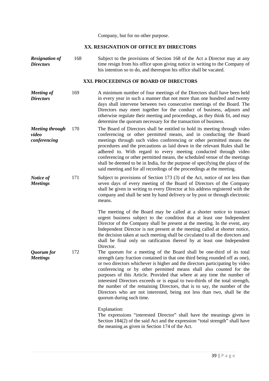Company, but for no other purpose.

## **XX. RESIGNATION OF OFFICE BY DIRECTORS**

*Resignation of Directors* 168 Subject to the provisions of Section 168 of the Act a Director may at any time resign from his office upon giving notice in writing to the Company of his intention so to do, and thereupon his office shall be vacated.

## **XXI. PROCEEDINGS OF BOARD OF DIRECTORS**

- *Meeting of Directors* 169 A minimum number of four meetings of the Directors shall have been held in every year in such a manner that not more than one hundred and twenty days shall intervene between two consecutive meetings of the Board. The Directors may meet together for the conduct of business, adjourn and otherwise regulate their meeting and proceedings, as they think fit, and may determine the quorum necessary for the transaction of business.
- *Meeting through video conferencing* 170 The Board of Directors shall be entitled to hold its meeting through video conferencing or other permitted means, and in conducting the Board meetings through such video conferencing or other permitted means the procedures and the precautions as laid down in the relevant Rules shall be adhered to. With regard to every meeting conducted through video conferencing or other permitted means, the scheduled venue of the meetings shall be deemed to be in India, for the purpose of specifying the place of the said meeting and for all recordings of the proceedings at the meeting.
- *Notice of Meetings* 171 Subject to provisions of Section 173 (3) of the Act, notice of not less than seven days of every meeting of the Board of Directors of the Company shall be given in writing to every Director at his address registered with the company and shall be sent by hand delivery or by post or through electronic means.

The meeting of the Board may be called at a shorter notice to transact urgent business subject to the condition that at least one Independent Director of the Company shall be present at the meeting. In the event, any Independent Director is not present at the meeting called at shorter notice, the decision taken at such meeting shall be circulated to all the directors and shall be final only on ratification thereof by at least one Independent Director.

*Quorum for Meetings* 172 The quorum for a meeting of the Board shall be one-third of its total strength (any fraction contained in that one third being rounded off as one), or two directors whichever is higher and the directors participating by video conferencing or by other permitted means shall also counted for the purposes of this Article. Provided that where at any time the number of interested Directors exceeds or is equal to two-thirds of the total strength, the number of the remaining Directors, that is to say, the number of the Directors who are not interested, being not less than two, shall be the quorum during such time.

Explanation:

The expressions "interested Director" shall have the meanings given in Section 184(2) of the said Act and the expression "total strength" shall have the meaning as given in Section 174 of the Act.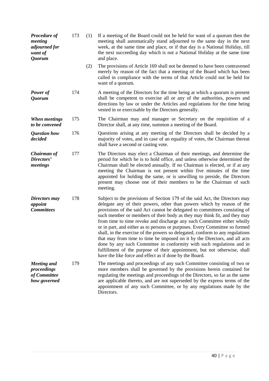| <b>Procedure of</b><br>meeting<br>adjourned for<br>want of<br><b>Quorum</b> | 173 | (1) | If a meeting of the Board could not be held for want of a quorum then the<br>meeting shall automatically stand adjourned to the same day in the next<br>week, at the same time and place, or if that day is a National Holiday, till<br>the next succeeding day which is not a National Holiday at the same time<br>and place.                                                                                                                                                                                                                                                                                                                                                                                                                                                                                                                            |
|-----------------------------------------------------------------------------|-----|-----|-----------------------------------------------------------------------------------------------------------------------------------------------------------------------------------------------------------------------------------------------------------------------------------------------------------------------------------------------------------------------------------------------------------------------------------------------------------------------------------------------------------------------------------------------------------------------------------------------------------------------------------------------------------------------------------------------------------------------------------------------------------------------------------------------------------------------------------------------------------|
|                                                                             |     | (2) | The provisions of Article 169 shall not be deemed to have been contravened<br>merely by reason of the fact that a meeting of the Board which has been<br>called in compliance with the terms of that Article could not be held for<br>want of a quorum.                                                                                                                                                                                                                                                                                                                                                                                                                                                                                                                                                                                                   |
| Power of<br><b>Quorum</b>                                                   | 174 |     | A meeting of the Directors for the time being at which a quorum is present<br>shall be competent to exercise all or any of the authorities, powers and<br>directions by law or under the Articles and regulations for the time being<br>vested in or exercisable by the Directors generally.                                                                                                                                                                                                                                                                                                                                                                                                                                                                                                                                                              |
| <b>When meetings</b><br>to be convened                                      | 175 |     | The Chairman may and manager or Secretary on the requisition of a<br>Director shall, at any time, summon a meeting of the Board.                                                                                                                                                                                                                                                                                                                                                                                                                                                                                                                                                                                                                                                                                                                          |
| <b>Question how</b><br>decided                                              | 176 |     | Questions arising at any meeting of the Directors shall be decided by a<br>majority of votes, and in case of an equality of votes, the Chairman thereat<br>shall have a second or casting vote.                                                                                                                                                                                                                                                                                                                                                                                                                                                                                                                                                                                                                                                           |
| Chairman of<br>Directors'<br>meetings                                       | 177 |     | The Directors may elect a Chairman of their meetings, and determine the<br>period for which he is to hold office, and unless otherwise determined the<br>Chairman shall be elected annually. If no Chairman is elected, or if at any<br>meeting the Chairman is not present within five minutes of the time<br>appointed for holding the same, or is unwilling to preside, the Directors<br>present may choose one of their members to be the Chairman of such<br>meeting.                                                                                                                                                                                                                                                                                                                                                                                |
| Directors may<br>appoint<br><b>Committees</b>                               | 178 |     | Subject to the provisions of Section 179 of the said Act, the Directors may<br>delegate any of their powers, other than powers which by reason of the<br>provisions of the said Act cannot be delegated to committees consisting of<br>such member or members of their body as they may think fit, and they may<br>from time to time revoke and discharge any such Committee either wholly<br>or in part, and either as to persons or purposes. Every Committee so formed<br>shall, in the exercise of the powers so delegated, conform to any regulations<br>that may from time to time be imposed on it by the Directors, and all acts<br>done by any such Committee in conformity with such regulations and in<br>fulfillment of the purpose of their appointment, but not otherwise, shall<br>have the like force and effect as if done by the Board. |
| <b>Meeting</b> and<br>proceedings<br>of Committee<br>how governed           | 179 |     | The meetings and proceedings of any such Committee consisting of two or<br>more members shall be governed by the provisions herein contained for<br>regulating the meetings and proceedings of the Directors, so far as the same<br>are applicable thereto, and are not superseded by the express terms of the<br>appointment of any such Committee, or by any regulations made by the<br>Directors.                                                                                                                                                                                                                                                                                                                                                                                                                                                      |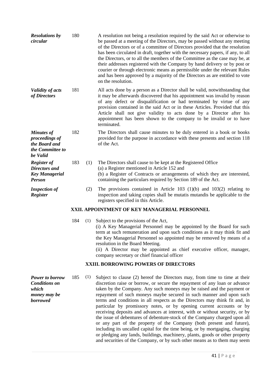| <b>Resolutions by</b><br>circular                                                    | 180 |     | A resolution not being a resolution required by the said Act or otherwise to<br>be passed at a meeting of the Directors, may be passed without any meeting<br>of the Directors or of a committee of Directors provided that the resolution<br>has been circulated in draft, together with the necessary papers, if any, to all<br>the Directors, or to all the members of the Committee as the case may be, at<br>their addresses registered with the Company by hand delivery or by post or<br>courier or through electronic means as permissible under the relevant Rules<br>and has been approved by a majority of the Directors as are entitled to vote<br>on the resolution.                                                                                                                                                                                                                                                                     |
|--------------------------------------------------------------------------------------|-----|-----|-------------------------------------------------------------------------------------------------------------------------------------------------------------------------------------------------------------------------------------------------------------------------------------------------------------------------------------------------------------------------------------------------------------------------------------------------------------------------------------------------------------------------------------------------------------------------------------------------------------------------------------------------------------------------------------------------------------------------------------------------------------------------------------------------------------------------------------------------------------------------------------------------------------------------------------------------------|
| <b>Validity of acts</b><br>of Directors                                              | 181 |     | All acts done by a person as a Director shall be valid, not with standing that<br>it may be afterwards discovered that his appointment was invalid by reason<br>of any defect or disqualification or had terminated by virtue of any<br>provision contained in the said Act or in these Articles. Provided that this<br>Article shall not give validity to acts done by a Director after his<br>appointment has been shown to the company to be invalid or to have<br>terminated.                                                                                                                                                                                                                                                                                                                                                                                                                                                                     |
| <b>Minutes of</b><br>proceedings of<br>the Board and<br>the Committee to<br>be Valid | 182 |     | The Directors shall cause minutes to be duly entered in a book or books<br>provided for the purpose in accordance with these presents and section 118<br>of the Act.                                                                                                                                                                                                                                                                                                                                                                                                                                                                                                                                                                                                                                                                                                                                                                                  |
| <b>Register of</b><br>Directors and<br><b>Key Managerial</b><br><b>Person</b>        | 183 | (1) | The Directors shall cause to be kept at the Registered Office<br>(a) a Register mentioned in Article 152 and<br>(b) a Register of Contracts or arrangements of which they are interested,<br>containing the particulars required by Section 189 of the Act.                                                                                                                                                                                                                                                                                                                                                                                                                                                                                                                                                                                                                                                                                           |
| <b>Inspection of</b><br>Register                                                     |     | (2) | The provisions contained in Article 103 $(1)(b)$ and 103 $(2)$ relating to<br>inspection and taking copies shall be mutatis mutandis be applicable to the<br>registers specified in this Article.                                                                                                                                                                                                                                                                                                                                                                                                                                                                                                                                                                                                                                                                                                                                                     |
|                                                                                      |     |     | XXII. APPOINTMENT OF KEY MANAGERIAL PERSONNEL                                                                                                                                                                                                                                                                                                                                                                                                                                                                                                                                                                                                                                                                                                                                                                                                                                                                                                         |
|                                                                                      | 184 | (1) | Subject to the provisions of the Act,<br>(i) A Key Managerial Personnel may be appointed by the Board for such<br>term at such remuneration and upon such conditions as it may think fit and<br>the Key Managerial Personnel so appointed may be removed by means of a<br>resolution in the Board Meeting.<br>(ii) A Director may be appointed as chief executive officer, manager,<br>company secretary or chief financial officer                                                                                                                                                                                                                                                                                                                                                                                                                                                                                                                   |
|                                                                                      |     |     | <b>XXIII. BORROWING POWERS OF DIRECTORS</b>                                                                                                                                                                                                                                                                                                                                                                                                                                                                                                                                                                                                                                                                                                                                                                                                                                                                                                           |
| Power to borrow<br><b>Conditions on</b><br>which<br>money may be<br><b>borrowed</b>  | 185 | (1) | Subject to clause (2) hereof the Directors may, from time to time at their<br>discretion raise or borrow, or secure the repayment of any loan or advance<br>taken by the Company. Any such moneys may be raised and the payment or<br>repayment of such moneys maybe secured in such manner and upon such<br>terms and conditions in all respects as the Directors may think fit and, in<br>particular by promissory notes, or by opening current accounts or by<br>receiving deposits and advances at interest, with or without security, or by<br>the issue of debentures of debenture-stock of the Company charged upon all<br>or any part of the property of the Company (both present and future),<br>including its uncalled capital for the time being, or by mortgaging, charging<br>or pledging any lands, buildings, machinery, plants, goods or other property<br>and securities of the Company, or by such other means as to them may seem |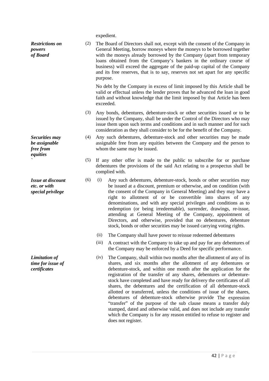expedient.

| <b>Restrictions on</b><br>powers<br>of Board                  | (2) | purpose.  | The Board of Directors shall not, except with the consent of the Company in<br>General Meeting, borrow moneys where the moneys to be borrowed together<br>with the moneys already borrowed by the Company (apart from temporary<br>loans obtained from the Company's bankers in the ordinary course of<br>business) will exceed the aggregate of the paid-up capital of the Company<br>and its free reserves, that is to say, reserves not set apart for any specific                                                                                                                                                                                                                                                                 |
|---------------------------------------------------------------|-----|-----------|---------------------------------------------------------------------------------------------------------------------------------------------------------------------------------------------------------------------------------------------------------------------------------------------------------------------------------------------------------------------------------------------------------------------------------------------------------------------------------------------------------------------------------------------------------------------------------------------------------------------------------------------------------------------------------------------------------------------------------------|
|                                                               |     | exceeded. | No debt by the Company in excess of limit imposed by this Article shall be<br>valid or effectual unless the lender proves that he advanced the loan in good<br>faith and without knowledge that the limit imposed by that Article has been                                                                                                                                                                                                                                                                                                                                                                                                                                                                                            |
|                                                               | (3) |           | Any bonds, debentures, debenture-stock or other securities issued or to be<br>issued by the Company, shall be under the Control of the Directors who may<br>issue them upon such terms and conditions and in such manner and for such<br>consideration as they shall consider to be for the benefit of the Company.                                                                                                                                                                                                                                                                                                                                                                                                                   |
| Securities may<br>be assignable<br>free from<br>equities      | (4) |           | Any such debentures, debenture-stock and other securities may be made<br>assignable free from any equities between the Company and the person to<br>whom the same may be issued.                                                                                                                                                                                                                                                                                                                                                                                                                                                                                                                                                      |
|                                                               | (5) |           | If any other offer is made to the public to subscribe for or purchase<br>debentures the provisions of the said Act relating to a prospectus shall be<br>complied with.                                                                                                                                                                                                                                                                                                                                                                                                                                                                                                                                                                |
| <b>Issue at discount</b><br>etc. or with<br>special privilege | (6) | (i)       | Any such debentures, debenture-stock, bonds or other securities may<br>be issued at a discount, premium or otherwise, and on condition (with<br>the consent of the Company in General Meeting) and they may have a<br>right to allotment of or be convertible into shares of any<br>denominations, and with any special privileges and conditions as to<br>redemption (or being irredeemable), surrender, drawings, re-issue,<br>attending at General Meeting of the Company, appointment of<br>Directors, and otherwise, provided that no debentures, debenture<br>stock, bonds or other securities may be issued carrying voting rights.                                                                                            |
|                                                               |     | (ii)      | The Company shall have power to reissue redeemed debentures                                                                                                                                                                                                                                                                                                                                                                                                                                                                                                                                                                                                                                                                           |
|                                                               |     | (iii)     | A contract with the Company to take up and pay for any debentures of<br>the Company may be enforced by a Deed for specific performance.                                                                                                                                                                                                                                                                                                                                                                                                                                                                                                                                                                                               |
| <b>Limitation of</b><br>time for issue of<br>certificates     |     | (iv)      | The Company, shall within two months after the allotment of any of its<br>shares, and six months after the allotment of any debentures or<br>debenture-stock, and within one month after the application for the<br>registration of the transfer of any shares, debentures or debenture-<br>stock have completed and have ready for delivery the certificates of all<br>shares, the debentures and the certification of all debenture-stock<br>allotted or transferred, unless the conditions of issue of the shares,<br>debentures of debenture-stock otherwise provide The expression<br>"transfer" of the purpose of the sub clause means a transfer duly<br>stamped, dated and otherwise valid, and does not include any transfer |

does not register.

which the Company is for any reason entitled to refuse to register and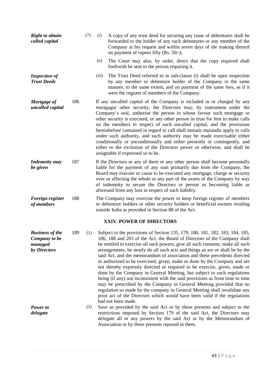| <b>Right to obtain</b><br>called capital                                                   |     | (7) | (i)   | A copy of any trust deed for securing any issue of debentures shall be<br>forwarded to the holder of any such debentures or any member of the<br>Company at his request and within seven days of the making thereof<br>on payment of rupees fifty (Rs. 50/-);                                                                                                                                                                                                                                                                                                                                                                                                                                                                                                                                                                                                                                                                                                                                                                                                                                                                                    |
|--------------------------------------------------------------------------------------------|-----|-----|-------|--------------------------------------------------------------------------------------------------------------------------------------------------------------------------------------------------------------------------------------------------------------------------------------------------------------------------------------------------------------------------------------------------------------------------------------------------------------------------------------------------------------------------------------------------------------------------------------------------------------------------------------------------------------------------------------------------------------------------------------------------------------------------------------------------------------------------------------------------------------------------------------------------------------------------------------------------------------------------------------------------------------------------------------------------------------------------------------------------------------------------------------------------|
|                                                                                            |     |     | (ii)  | The Court may also, by order, direct that the copy required shall<br>forthwith be sent to the person requiring it.                                                                                                                                                                                                                                                                                                                                                                                                                                                                                                                                                                                                                                                                                                                                                                                                                                                                                                                                                                                                                               |
| <b>Inspection of</b><br><b>Trust Deeds</b>                                                 |     |     | (iii) | The Trust Deed referred to in sub-clause (i) shall be open inspection<br>by any member or debenture holder of the Company in the same<br>manner, to the same extent, and on payment of the same fees, as if it<br>were the register of members of the Company.                                                                                                                                                                                                                                                                                                                                                                                                                                                                                                                                                                                                                                                                                                                                                                                                                                                                                   |
| Mortgage of<br>uncalled capital                                                            | 186 |     |       | If any uncalled capital of the Company is included in or charged by any<br>mortgagor other security, the Directors may, by instrument under the<br>Company's seal, authorise the person in whose favour such mortgage or<br>other security is executed, or any other person in trust for him to make calls<br>on the members in respect of such uncalled capital, and the provisions<br>hereinbefore contained in regard to call shall mutatis mutandis apply to calls<br>under such authority, and such authority may be made exercisable either<br>conditionally or unconditionally and either presently or contingently, and<br>either to the exclusion of the Directors power or otherwise, and shall be<br>assignable if expressed so to be.                                                                                                                                                                                                                                                                                                                                                                                                |
| <b>Indemnity may</b><br>be given                                                           | 187 |     |       | If the Directors or any of them or any other person shall become personally<br>liable for the payment of any sum primarily due from the Company, the<br>Board may execute or cause to be executed any mortgage, charge or security<br>over or affecting the whole or any part of the assets of the Company by way<br>of indemnity to secure the Directors or person so becoming liable as<br>aforesaid from any loss in respect of such liability.                                                                                                                                                                                                                                                                                                                                                                                                                                                                                                                                                                                                                                                                                               |
| Foreign register<br>of members                                                             | 188 |     |       | The Company may exercise the power to keep foreign register of members<br>or debenture holders or other security holders or beneficial owners residing<br>outside India as provided in Section 88 of the Act.                                                                                                                                                                                                                                                                                                                                                                                                                                                                                                                                                                                                                                                                                                                                                                                                                                                                                                                                    |
|                                                                                            |     |     |       | <b>XXIV. POWER OF DIRECTORS</b>                                                                                                                                                                                                                                                                                                                                                                                                                                                                                                                                                                                                                                                                                                                                                                                                                                                                                                                                                                                                                                                                                                                  |
| <b>Business of the</b><br>Company to be<br>managed<br>by Directors<br>Power to<br>delegate | 189 | (2) |       | (1) Subject to the provisions of Section 135, 179, 180, 181, 182, 183, 184, 185,<br>186, 188 and 203 of the Act, the Board of Directors of the Company shall<br>be entitled to exercise all such powers, give all such consents, make all such<br>arrangements, be nearly do all such acts and things as are or shall be by the<br>said Act, and the memorandum of association and these precedents directed<br>or authorized to be exercised, given, make or done by the Company and are<br>not thereby expressly directed or required to be exercise, given, made or<br>done by the Company in General Meeting, but subject to such regulations<br>being (if any) not inconsistent with the said provisions as from time to time<br>may be prescribed by the Company in General Meeting provided that no<br>regulation so made by the company in General Meeting shall invalidate any<br>prior act of the Directors which would have been valid if the regulations<br>had not been made.<br>Save as provided by the said Act or by these presents and subject to the<br>restrictions imposed by Section 179 of the said Act, the Directors may |
|                                                                                            |     |     |       | delegate all or any powers by the said Act or by the Memorandum of<br>Association or by these presents reposed in them.                                                                                                                                                                                                                                                                                                                                                                                                                                                                                                                                                                                                                                                                                                                                                                                                                                                                                                                                                                                                                          |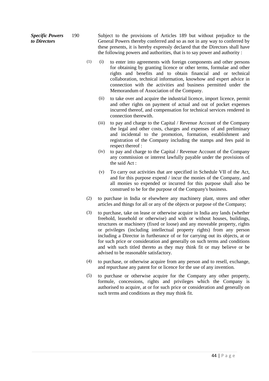*Specific Powers to Directors* 190 Subject to the provisions of Articles 189 but without prejudice to the General Powers thereby conferred and so as not in any way to conferred by these presents, it is hereby expressly declared that the Directors shall have the following powers and authorities, that is to say power and authority :

- (1) (i) to enter into agreements with foreign components and other persons for obtaining by granting licence or other terms, formulae and other rights and benefits and to obtain financial and or technical collaboration, technical information, knowhow and expert advice in connection with the activities and business permitted under the Memorandum of Association of the Company.
	- (ii) to take over and acquire the industrial licence, import licence, permit and other rights on payment of actual and out of pocket expenses incurred thereof, and compensation for technical services rendered in connection therewith.
	- (iii) to pay and charge to the Capital / Revenue Account of the Company the legal and other costs, charges and expenses of and preliminary and incidental to the promotion, formation, establishment and registration of the Company including the stamps and fees paid in respect thereof :
	- (iv) to pay and charge to the Capital / Revenue Account of the Company any commission or interest lawfully payable under the provisions of the said Act :
	- (v) To carry out activities that are specified in Schedule VII of the Act, and for this purpose expend / incur the monies of the Company, and all monies so expended or incurred for this purpose shall also be construed to be for the purpose of the Company's business.
- (2) to purchase in India or elsewhere any machinery plant, stores and other articles and things for all or any of the objects or purpose of the Company;
- (3) to purchase, take on lease or otherwise acquire in India any lands (whether freehold, leasehold or otherwise) and with or without houses, buildings, structures or machinery (fixed or loose) and any moveable property, rights or privileges (including intellectual property rights) from any person including a Director in furtherance of or for carrying out its objects, at or for such price or consideration and generally on such terms and conditions and with such titled thereto as they may think fit or may believe or be advised to be reasonable satisfactory.
- (4) to purchase, or otherwise acquire from any person and to resell, exchange, and repurchase any patent for or licence for the use of any invention.
- (5) to purchase or otherwise acquire for the Company any other property, formule, concessions, rights and privileges which the Company is authorised to acquire, at or for such price or consideration and generally on such terms and conditions as they may think fit.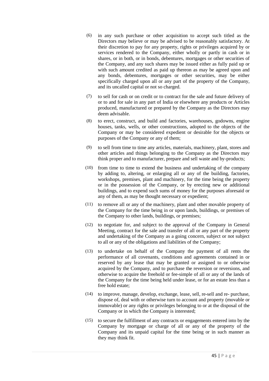- (6) in any such purchase or other acquisition to accept such titled as the Directors may believe or may be advised to be reasonably satisfactory. At their discretion to pay for any property, rights or privileges acquired by or services rendered to the Company, either wholly or partly in cash or in shares, or in both, or in bonds, debentures, mortgages or other securities of the Company, and any such shares may be issued either as fully paid up or with such amount credited as paid up thereon as may be agreed upon and any bonds, debentures, mortgages or other securities, may be either specifically charged upon all or any part of the property of the Company, and its uncalled capital or not so charged.
- (7) to sell for cash or on credit or to contract for the sale and future delivery of or to and for sale in any part of India or elsewhere any products or Articles produced, manufactured or prepared by the Company as the Directors may deem advisable.
- (8) to erect, construct, and build and factories, warehouses, godowns, engine houses, tanks, wells, or other constructions, adopted to the objects of the Company or may be considered expedient or desirable for the objects or purposes of the Company or any of them;
- (9) to sell from time to time any articles, materials, machinery, plant, stores and other articles and things belonging to the Company as the Directors may think proper and to manufacturer, prepare and sell waste and by-products;
- (10) from time to time to extend the business and undertaking of the company by adding to, altering, or enlarging all or any of the building, factories, workshops, premises, plant and machinery, for the time being the property or in the possession of the Company, or by erecting new or additional buildings, and to expend such sums of money for the purposes aforesaid or any of them, as may be thought necessary or expedient;
- (11) to remove all or any of the machinery, plant and other movable property of the Company for the time being in or upon lands, buildings, or premises of the Company to other lands, buildings, or premises;
- (12) to negotiate for, and subject to the approval of the Company in General Meeting, contract for the sale and transfer of all or any part of the property and undertaking of the Company as a going concern, subject or not subject to all or any of the obligations and liabilities of the Company;
- (13) to undertake on behalf of the Company the payment of all rents the performance of all covenants, conditions and agreements contained in or reserved by any lease that may be granted or assigned to or otherwise acquired by the Company, and to purchase the reversion or reversions, and otherwise to acquire the freehold or fee-simple of all or any of the lands of the Company for the time being held under lease, or for an estate less than a free hold estate;
- (14) to improve, manage, develop, exchange, lease, sell, re-sell and re- purchase, dispose of, deal with or otherwise turn to account and property (movable or immovable) or any rights or privileges belonging to or at the disposal of the Company or in which the Company is interested;
- (15) to secure the fulfillment of any contracts or engagements entered into by the Company by mortgage or charge of all or any of the property of the Company and its unpaid capital for the time being or in such manner as they may think fit.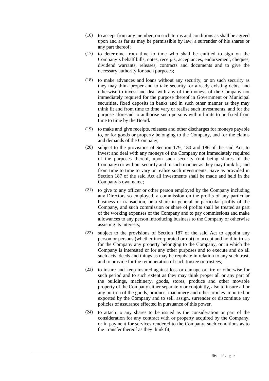- (16) to accept from any member, on such terms and conditions as shall be agreed upon and as far as may be permissible by law, a surrender of his shares or any part thereof;
- (17) to determine from time to time who shall be entitled to sign on the Company's behalf bills, notes, receipts, acceptances, endorsement, cheques, dividend warrants, releases, contracts and documents and to give the necessary authority for such purposes;
- (18) to make advances and loans without any security, or on such security as they may think proper and to take security for already existing debts, and otherwise to invest and deal with any of the moneys of the Company not immediately required for the purpose thereof in Government or Municipal securities, fixed deposits in banks and in such other manner as they may think fit and from time to time vary or realise such investments, and for the purpose aforesaid to authorise such persons within limits to be fixed from time to time by the Board.
- (19) to make and give receipts, releases and other discharges for moneys payable to, or for goods or property belonging to the Company, and for the claims and demands of the Company;
- (20) subject to the provisions of Section 179, 180 and 186 of the said Act, to invest and deal with any moneys of the Company not immediately required of the purposes thereof, upon such security (not being shares of the Company) or without security and in such manner as they may think fit, and from time to time to vary or realise such investments, Save as provided in Section 187 of the said Act all investments shall be made and held in the Company's own name;
- (21) to give to any officer or other person employed by the Company including any Directors so employed, a commission on the profits of any particular business or transaction, or a share in general or particular profits of the Company, and such commission or share of profits shall be treated as part of the working expenses of the Company and to pay commissions and make allowances to any person introducing business to the Company or otherwise assisting its interests;
- (22) subject to the provisions of Section 187 of the said Act to appoint any person or persons (whether incorporated or not) to accept and hold in trusts for the Company any property belonging to the Company, or in which the Company is interested or for any other purposes and to execute and do all such acts, deeds and things as may be requisite in relation to any such trust, and to provide for the remuneration of such trustee or trustees:
- (23) to insure and keep insured against loss or damage or fire or otherwise for such period and to such extent as they may think proper all or any part of the buildings, machinery, goods, stores, produce and other movable property of the Company either separately or conjointly, also to insure all or any portion of the goods, produce, machinery and other articles imported or exported by the Company and to sell, assign, surrender or discontinue any policies of assurance effected in pursuance of this power.
- (24) to attach to any shares to be issued as the consideration or part of the consideration for any contract with or property acquired by the Company, or in payment for services rendered to the Company, such conditions as to the transfer thereof as they think fit;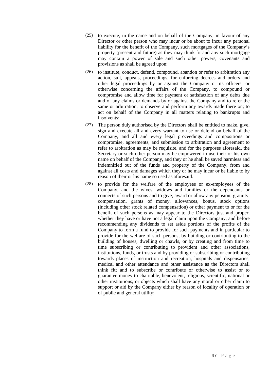- (25) to execute, in the name and on behalf of the Company, in favour of any Director or other person who may incur or be about to incur any personal liability for the benefit of the Company, such mortgages of the Company's property (present and future) as they may think fit and any such mortgage may contain a power of sale and such other powers, covenants and provisions as shall be agreed upon;
- (26) to institute, conduct, defend, compound, abandon or refer to arbitration any action, suit, appeals, proceedings, for enforcing decrees and orders and other legal proceedings by or against the Company or its officers, or otherwise concerning the affairs of the Company, to compound or compromise and allow time for payment or satisfaction of any debts due and of any claims or demands by or against the Company and to refer the same or arbitration, to observe and perform any awards made there on; to act on behalf of the Company in all matters relating to bankrupts and insolvents;
- (27) The person duly authorised by the Directors shall be entitled to make, give, sign and execute all and every warrant to use or defend on behalf of the Company, and all and every legal proceedings and compositions or compromise, agreements, and submission to arbitration and agreement to refer to arbitration as may be requisite, and for the purposes aforesaid, the Secretary or such other person may be empowered to use their or his own name on behalf of the Company, and they or he shall be saved harmless and indemnified out of the funds and property of the Company, from and against all costs and damages which they or he may incur or be liable to by reason of their or his name so used as aforesaid.
- (28) to provide for the welfare of the employees or ex-employees of the Company, and the wives, widows and families or the dependants or connects of such persons and to give, award or allow any pension, gratuity, compensation, grants of money, allowances, bonus, stock options (including other stock related compensation) or other payment to or for the benefit of such persons as may appear to the Directors just and proper, whether they have or have not a legal claim upon the Company, and before recommending any dividends to set aside portions of the profits of the Company to form a fund to provide for such payments and in particular to provide for the welfare of such persons, by building or contributing to the building of houses, dwelling or chawls, or by creating and from time to time subscribing or contributing to provident and other associations, institutions, funds, or trusts and by providing or subscribing or contributing towards places of instruction and recreation, hospitals and dispensaries, medical and other attendance and other assistance as the Directors shall think fit; and to subscribe or contribute or otherwise to assist or to guarantee money to charitable, benevolent, religious, scientific, national or other institutions, or objects which shall have any moral or other claim to support or aid by the Company either by reason of locality of operation or of public and general utility;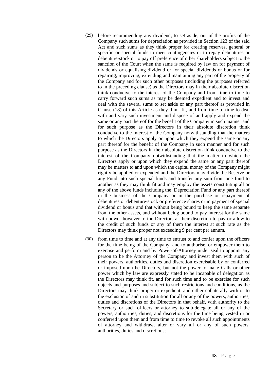- (29) before recommending any dividend, to set aside, out of the profits of the Company such sums for depreciation as provided in Section 123 of the said Act and such sums as they think proper for creating reserves, general or specific or special funds to meet contingencies or to repay debentures or debenture-stock or to pay off preference of other shareholders subject to the sanction of the Court when the same is required by law on for payment of dividends or equalising dividend or for special dividends or bonus or for repairing, improving, extending and maintaining any part of the property of the Company and for such other purposes (including the purposes referred to in the preceding clause) as the Directors may in their absolute discretion think conducive to the interest of the Company and from time to time to carry forward such sums as may be deemed expedient and to invest and deal with the several sums to set aside or any part thereof as provided in Clause (18) of this Article as they think fit, and from time to time to deal with and vary such investment and dispose of and apply and expend the same or any part thereof for the benefit of the Company in such manner and for such purpose as the Directors in their absolute discretion think conducive to the interest of the Company notwithstanding that the matters to which the Directors apply or upon which they expend the same or any part thereof for the benefit of the Company in such manner and for such purpose as the Directors in their absolute discretion think conducive to the interest of the Company notwithstanding that the matter to which the Directors apply or upon which they expend the same or any part thereof may be matters to and upon which the capital money of the Company might rightly be applied or expended and the Directors may divide the Reserve or any Fund into such special funds and transfer any sum from one fund to another as they may think fit and may employ the assets constituting all or any of the above funds including the Depreciation Fund or any part thereof in the business of the Company or in the purchase or repayment of debentures or debenture-stock or preference shares or in payment of special dividend or bonus and that without being bound to keep the same separate from the other assets, and without being bound to pay interest for the same with power however to the Directors at their discretion to pay or allow to the credit of such funds or any of them the interest at such rate as the Directors may think proper not exceeding 9 per cent per annum.
- (30) from time to time and at any time to entrust to and confer upon the officers for the time being of the Company, and to authorise, or empower them to exercise and perform and by Power-of-Attorney under seal to appoint any person to be the Attorney of the Company and invest them with such of their powers, authorities, duties and discretion exercisable by or conferred or imposed upon he Directors, but not the power to make Calls or other power which by law are expressly stated to be incapable of delegation as the Directors may think fit, and for such time and to be exercise for such objects and purposes and subject to such restrictions and conditions, as the Directors may think proper or expedient, and either collaterally with or to the exclusion of and in substitution for all or any of the powers, authorities, duties and discretions of the Directors in that behalf, with authority to the Secretary or such officers or attorney to sub-delegate all or any of the powers, authorities, duties, and discretions for the time being vested in or conferred upon them and from time to time to revoke all such appointments of attorney and withdraw, alter or vary all or any of such powers, authorities, duties and discretions;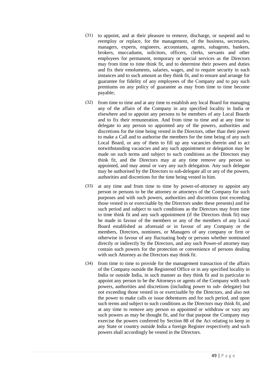- (31) to appoint, and at their pleasure to remove, discharge, or suspend and to reemploy or replace, for the management, of the business, secretaries, managers, experts, engineers, accountants, agents, subagents, bankers, brokers, muccadums, solicitors, officers, clerks, servants and other employees for permanent, temporary or special services as the Directors may from time to time think fit, and to determine their powers and duties and fix their emoluments, salaries, wages, and to require security in such instances and to such amount as they think fit, and to ensure and arrange for guarantee for fidelity of any employees of the Company and to pay such premiums on any policy of guarantee as may from time to time become payable;
- (32) from time to time and at any time to establish any local Board for managing any of the affairs of the Company in any specified locality in India or elsewhere and to appoint any persons to be members of any Local Boards and to fix their remuneration. And from time to time and at any time to delegate to any person so appointed any of the powers, authorities and discretions for the time being vested in the Directors, other than their power to make a Call and to authorise the members for the time being of any such Local Board, or any of them to fill up any vacancies therein and to act notwithstanding vacancies and any such appointment or delegation may be made on such terms and subject to such conditions as the Directors may think fit, and the Directors may at any time remove any person so appointed, and may annul or vary any such delegation. Any such delegate may be authorised by the Directors to sub-delegate all or any of the powers, authorities and discretions for the time being vested in him.
- (33) at any time and from time to time by power-of-attorney to appoint any person or persons to be the attorney or attorneys of the Company for such purposes and with such powers, authorities and discretions (not exceeding those vested in or exercisable by the Directors under these presents) and for such period and subject to such conditions as the Directors may from time to time think fit and any such appointment (if the Directors think fit) may be made in favour of the members or any of the members of any Local Board established as aforesaid or in favour of any Company or the members, Directors, nominees, or Managers of any company or firm or otherwise in favour of any fluctuating body or persons whether nominated directly or indirectly by the Directors, and any such Power-of attorney may contain such powers for the protection or convenience of persons dealing with such Attorney as the Directors may think fit.
- (34) from time to time to provide for the management transaction of the affairs of the Company outside the Registered Office or in any specified locality in India or outside India, in such manner as they think fit and in particular to appoint any person to be the Attorneys or agents of the Company with such powers, authorities and discretions (including power to sub- delegate) but not exceeding those vested in or exercisable by the Directors, and also not the power to make calls or issue debentures and for such period, and upon such terms and subject to such conditions as the Directors may think fit, and at any time to remove any person so appointed or withdraw or vary any such powers as may be thought fit, and for that purpose the Company may exercise the powers conferred by Section 88 of the Act relating to keep in any State or country outside India a foreign Register respectively and such powers shall accordingly be vested in the Directors.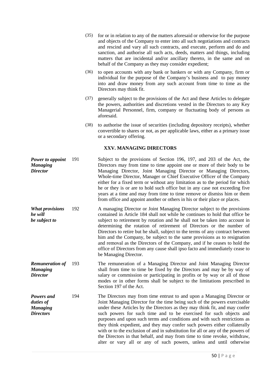|                                                                |     | (35) | for or in relation to any of the matters aforesaid or otherwise for the purpose<br>and objects of the Company to enter into all such negotiations and contracts<br>and rescind and vary all such contracts, and execute, perform and do and<br>sanction, and authorise all such acts, deeds, matters and things, including<br>matters that are incidental and/or ancillary thereto, in the same and on<br>behalf of the Company as they may consider expedient;                                                                                                                                                                                                                                           |
|----------------------------------------------------------------|-----|------|-----------------------------------------------------------------------------------------------------------------------------------------------------------------------------------------------------------------------------------------------------------------------------------------------------------------------------------------------------------------------------------------------------------------------------------------------------------------------------------------------------------------------------------------------------------------------------------------------------------------------------------------------------------------------------------------------------------|
|                                                                |     | (36) | to open accounts with any bank or bankers or with any Company, firm or<br>individual for the purpose of the Company's business and to pay money<br>into and draw money from any such account from time to time as the<br>Directors may think fit.                                                                                                                                                                                                                                                                                                                                                                                                                                                         |
|                                                                |     | (37) | generally subject to the provisions of the Act and these Articles to delegate<br>the powers, authorities and discretions vested in the Directors to any Key<br>Managerial Personnel, firm, company or fluctuating body of persons as<br>aforesaid.                                                                                                                                                                                                                                                                                                                                                                                                                                                        |
|                                                                |     | (38) | to authorise the issue of securities (including depository receipts), whether<br>convertible to shares or not, as per applicable laws, either as a primary issue<br>or a secondary offering.                                                                                                                                                                                                                                                                                                                                                                                                                                                                                                              |
|                                                                |     |      | XXV. MANAGING DIRECTORS                                                                                                                                                                                                                                                                                                                                                                                                                                                                                                                                                                                                                                                                                   |
| Power to appoint<br><b>Managing</b><br><b>Director</b>         | 191 |      | Subject to the provisions of Section 196, 197, and 203 of the Act, the<br>Directors may from time to time appoint one or more of their body to be<br>Managing Director, Joint Managing Director or Managing Directors,<br>Whole-time Director, Manager or Chief Executive Officer of the Company<br>either for a fixed term or without any limitation as to the period for which<br>he or they is or are to hold such office but in any case not exceeding five<br>years at a time and may from time to time remove or dismiss him or them<br>from office and appoint another or others in his or their place or places.                                                                                  |
| <b>What provisions</b><br>he will<br>be subject to             | 192 |      | A managing Director or Joint Managing Director subject to the provisions<br>contained in Article 184 shall not while he continues to hold that office be<br>subject to retirement by rotation and he shall not be taken into account in<br>determining the rotation of retirement of Directors or the number of<br>Directors to retire but he shall, subject to the terms of any contract between<br>him and the Company, be subject to the same provisions as to resignation<br>and removal as the Directors of the Company, and if he ceases to hold the<br>office of Directors from any cause shall ipso facto and immediately cease to<br>be Managing Director.                                       |
| <b>Remuneration of</b><br><b>Managing</b><br><b>Director</b>   | 193 |      | The remuneration of a Managing Director and Joint Managing Director<br>shall from time to time be fixed by the Directors and may be by way of<br>salary or commission or participating in profits or by way or all of those<br>modes or in other forms shall be subject to the limitations prescribed in<br>Section 197 of the Act.                                                                                                                                                                                                                                                                                                                                                                       |
| Powers and<br>duties of<br><b>Managing</b><br><b>Directors</b> | 194 |      | The Directors may from time entrust to and upon a Managing Director or<br>Joint Managing Director for the time being such of the powers exercisable<br>under these Articles by the Directors as they may think fit, and may confer<br>such powers for such time and to be exercised for such objects and<br>purposes and upon such terms and conditions and with such restrictions as<br>they think expedient, and they may confer such powers either collaterally<br>with or to the exclusion of and in substitution for all or any of the powers of<br>the Directors in that behalf, and may from time to time revoke, withdraw,<br>alter or vary all or any of such powers, unless and until otherwise |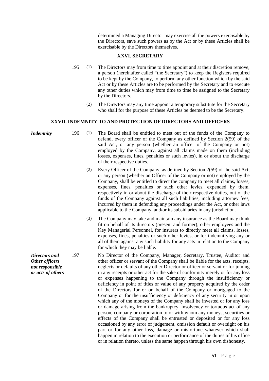determined a Managing Director may exercise all the powers exercisable by the Directors, save such powers as by the Act or by these Articles shall be exercisable by the Directors themselves.

## **XXVI. SECRETARY**

- 195 (1) The Directors may from time to time appoint and at their discretion remove, a person (hereinafter called "the Secretary") to keep the Registers required to be kept by the Company, to perform any other function which by the said Act or by these Articles are to be performed by the Secretary and to execute any other duties which may from time to time be assigned to the Secretary by the Directors.
	- (2) The Directors may any time appoint a temporary substitute for the Secretary who shall for the purpose of these Articles be deemed to be the Secretary.

## **XXVII. INDEMNITY TO AND PROTECTION OF DIRECTORS AND OFFICERS**

| <i>Indemnity</i> | 196 | The Board shall be entitled to meet out of the funds of the Company to                                       |
|------------------|-----|--------------------------------------------------------------------------------------------------------------|
|                  |     | defend, every officer of the Company as defined by Section $2(59)$ of the                                    |
|                  |     | said Act, or any person (whether an officer of the Company or not)                                           |
|                  |     | employed by the Company, against all claims made on them (including                                          |
|                  |     | losses, expenses, fines, penalties or such levies), in or about the discharge<br>of their respective duties. |
|                  |     |                                                                                                              |

- (2) Every Officer of the Company, as defined by Section 2(59) of the said Act, or any person (whether an Officer of the Company or not) employed by the Company, shall be entitled to direct the company to meet all claims, losses, expenses, fines, penalties or such other levies, expended by them, respectively in or about the discharge of their respective duties, out of the funds of the Company against all such liabilities, including attorney fees, incurred by them in defending any proceedings under the Act, or other laws applicable to the Company, and/or its subsidiaries in any jurisdiction.
- (3) The Company may take and maintain any insurance as the Board may think fit on behalf of its directors (present and former), other employees and the Key Managerial Personnel, for insurers to directly meet all claims, losses, expenses, fines, penalties or such other levies, or for indemnifying any or all of them against any such liability for any acts in relation to the Company for which they may be liable.
- 197 No Director of the Company, Manager, Secretary, Trustee, Auditor and other officer or servant of the Company shall be liable for the acts, receipts, neglects or defaults of any other Director or officer or servant or for joining in any receipts or other act for the sake of conformity merely or for any loss or expenses happening to the Company through the insufficiency or deficiency in point of titles or value of any property acquired by the order of the Directors for or on behalf of the Company or mortgaged to the Company or for the insufficiency or deficiency of any security in or upon which any of the moneys of the Company shall be invested or for any loss or damage arising from the bankruptcy, insolvency or tortuous act of any person, company or corporation to or with whom any moneys, securities or effects of the Company shall be entrusted or deposited or for any loss occasioned by any error of judgement, omission default or oversight on his part or for any other loss, damage or misfortune whatever which shall happen in relation to the execution or performance of the duties of his office or in relation thereto, unless the same happen through his own dishonesty.

*Directors and Other officers not responsible or acts of others*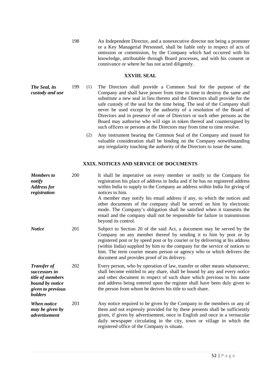198 An Independent Director, and a nonexecutive director not being a promoter or a Key Managerial Personnel, shall be liable only in respect of acts of omission or commission, by the Company which had occurred with his knowledge, attributable through Board processes, and with his consent or connivance or where he has not acted diligently.

## **XXVIII. SEAL**

- *The Seal, its custody and use* 199 (1) The Directors shall provide a Common Seal for the purpose of the Company and shall have power from time to time to destroy the same and substitute a new seal in lieu thereto and the Directors shall provide for the safe custody of the seal for the time being. The seal of the Company shall never be used except by the authority of a resolution of the Board of Directors and in presence of one of Directors or such other persons as the Board may authorise who will sign in token thereof and countersigned by such officers or persons at the Directors may from time to time resolve.
	- (2) Any instrument bearing the Common Seal of the Company and issued for valuable consideration shall be binding on the Company notwithstanding any irregularity touching the authority of the Directors to issue the same.

## **XXIX. NOTICES AND SERVICE OF DOCUMENTS**

| <b>Members</b> to<br>notify<br><b>Address for</b><br>registration                                          | 200 | It shall be imperative on every member or notify to the Company for<br>registration his place of address in India and if he has no registered address<br>within India to supply to the Company an address within India for giving of<br>notices to him.<br>A member may notify his email address if any, to which the notices and<br>other documents of the company shall be served on him by electronic<br>mode. The Company's obligation shall be satisfied when it transmits the<br>email and the company shall not be responsible for failure in transmission<br>beyond its control. |
|------------------------------------------------------------------------------------------------------------|-----|------------------------------------------------------------------------------------------------------------------------------------------------------------------------------------------------------------------------------------------------------------------------------------------------------------------------------------------------------------------------------------------------------------------------------------------------------------------------------------------------------------------------------------------------------------------------------------------|
| <b>Notice</b>                                                                                              | 201 | Subject to Section 20 of the said Act, a document may be served by the<br>Company on any member thereof by sending it to him by post or by<br>registered post or by speed post or by courier or by delivering at his address<br>(within India) supplied by him to the company for the service of notices to<br>him. The term courier means person or agency who or which delivers the<br>document and provides proof of its delivery.                                                                                                                                                    |
| <b>Transfer of</b><br>successors in<br>title of members<br>bound by notice<br>given to previous<br>holders | 202 | Every person, who by operation of law, transfer or other means whatsoever,<br>shall become entitled to any share, shall be bound by any and every notice<br>and other document in respect of such share which previous to his name<br>and address being entered upon the register shall have been duly given to<br>the person from whom he derives his title to such share.                                                                                                                                                                                                              |
| <b>When notice</b><br>may be given by<br><i>advertisement</i>                                              | 203 | Any notice required to be given by the Company to the members or any of<br>them and not expressly provided for by these presents shall be sufficiently<br>given, if given by advertisement, once in English and once in a vernacular<br>daily newspaper circulating in the city, town or village in which the<br>registered office of the Company is situate.                                                                                                                                                                                                                            |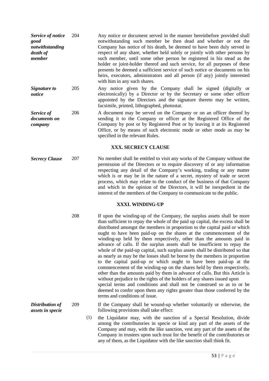| Service of notice<br>good<br>notwithstanding<br>death of<br>member | 204 | Any notice or document served in the manner hereinbefore provided shall<br>notwithstanding such member be then dead and whether or not the<br>Company has notice of his death, be deemed to have been duly served in<br>respect of any share, whether held solely or jointly with other persons by<br>such member, until some other person be registered in his stead as the<br>holder or joint-holder thereof and such service, for all purposes of these<br>presents be deemed a sufficient service of such notice or documents on his<br>heirs, executors, administrators and all person (if any) jointly interested<br>with him in any such shares. |  |  |  |
|--------------------------------------------------------------------|-----|---------------------------------------------------------------------------------------------------------------------------------------------------------------------------------------------------------------------------------------------------------------------------------------------------------------------------------------------------------------------------------------------------------------------------------------------------------------------------------------------------------------------------------------------------------------------------------------------------------------------------------------------------------|--|--|--|
| Signature to<br>notice                                             | 205 | Any notice given by the Company shall be signed (digitally or<br>electronically) by a Director or by the Secretary or some other officer<br>appointed by the Directors and the signature thereto may be written,<br>facsimile, printed, lithographed, photostat.                                                                                                                                                                                                                                                                                                                                                                                        |  |  |  |
| Service of<br>documents on<br>company                              | 206 | A document may be served on the Company or on an officer thereof by<br>sending it to the Company or officer at the Registered Office of the<br>Company by post or by Registered Post or by leaving it at its Registered<br>Office, or by means of such electronic mode or other mode as may be<br>specified in the relevant Rules.                                                                                                                                                                                                                                                                                                                      |  |  |  |
| XXX. SECRECY CLAUSE                                                |     |                                                                                                                                                                                                                                                                                                                                                                                                                                                                                                                                                                                                                                                         |  |  |  |
| <b>Secrecy Clause</b>                                              | 207 | No member shall be entitled to visit any works of the Company without the<br>permission of the Directors or to require discovery of or any information<br>respecting any detail of the Company's working, trading or any matter<br>which is or may be in the nature of a secret, mystery of trade or secret<br>process, which may relate to the conduct of the business of that Company<br>and which in the opinion of the Directors, it will be inexpedient in the<br>interest of the members of the Company to communicate to the public.                                                                                                             |  |  |  |
| XXXI. WINDING-UP                                                   |     |                                                                                                                                                                                                                                                                                                                                                                                                                                                                                                                                                                                                                                                         |  |  |  |
|                                                                    | 208 | If upon the winding-up of the Company, the surplus assets shall be more<br>than sufficient to repay the whole of the paid up capital, the excess shall be<br>distributed amongst the members in proportion to the capital paid or which<br>ought to have been paid-up on the shares at the commencement of the<br>winding-up held by them respectively, other than the amounts paid in<br>advance of calls. If the surplus assets shall be insufficient to repay the                                                                                                                                                                                    |  |  |  |

terms and conditions of issue.

*Distribution of assets in specie*

209 If the Company shall be wound-up whether voluntarily or otherwise, the following provisions shall take effect:

whole of the paid-up capital, such surplus assets shall be distributed so that as nearly as may be the losses shall be borne by the members in proportion to the capital paid-up or which ought to have been paid-up at the commencement of the winding-up on the shares held by them respectively, other than the amounts paid by them in advance of calls. But this Article is without prejudice to the rights of the holders of any shares issued upon special terms and conditions and shall not be construed so as to or be deemed to confer upon them any rights greater than those conferred by the

(1) the Liquidator may, with the sanction of a Special Resolution, divide among the contributories in specie or kind any part of the assets of the Company and may, with the like sanction, vest any part of the assets of the Company in trustees upon such trust for the benefit of the contributories or any of them, as the Liquidator with the like sanction shall think fit.